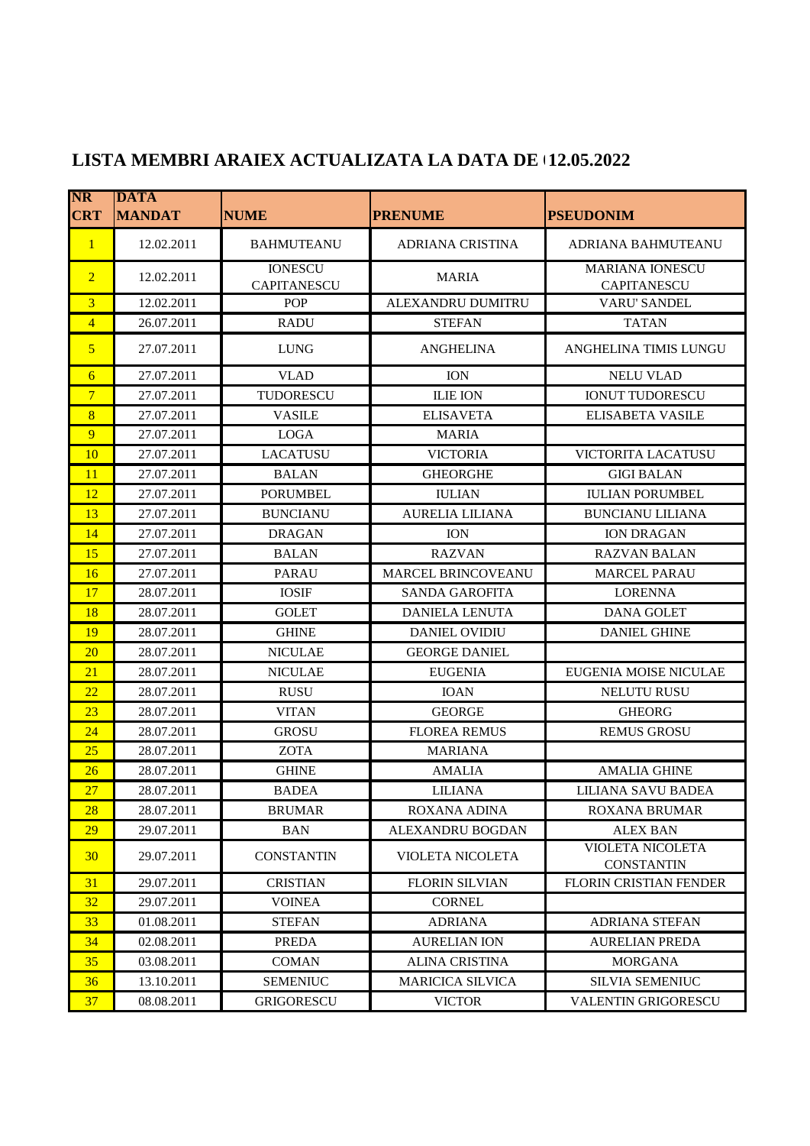| $\overline{\text{NR}}$<br><b>CRT</b> | <b>DATA</b><br><b>MANDAT</b> | <b>NUME</b>                          | <b>PRENUME</b>           | <b>PSEUDONIM</b>                             |
|--------------------------------------|------------------------------|--------------------------------------|--------------------------|----------------------------------------------|
| $\mathbf{1}$                         | 12.02.2011                   | <b>BAHMUTEANU</b>                    | <b>ADRIANA CRISTINA</b>  | ADRIANA BAHMUTEANU                           |
| $\overline{2}$                       | 12.02.2011                   | <b>IONESCU</b><br><b>CAPITANESCU</b> | <b>MARIA</b>             | <b>MARIANA IONESCU</b><br><b>CAPITANESCU</b> |
| $\overline{3}$                       | 12.02.2011                   | <b>POP</b>                           | <b>ALEXANDRU DUMITRU</b> | <b>VARU' SANDEL</b>                          |
| $\overline{4}$                       | 26.07.2011                   | <b>RADU</b>                          | <b>STEFAN</b>            | <b>TATAN</b>                                 |
| $\overline{5}$                       | 27.07.2011                   | <b>LUNG</b>                          | <b>ANGHELINA</b>         | ANGHELINA TIMIS LUNGU                        |
| 6                                    | 27.07.2011                   | <b>VLAD</b>                          | <b>ION</b>               | <b>NELU VLAD</b>                             |
| $7\phantom{.0}$                      | 27.07.2011                   | TUDORESCU                            | <b>ILIE ION</b>          | <b>IONUT TUDORESCU</b>                       |
| 8                                    | 27.07.2011                   | <b>VASILE</b>                        | <b>ELISAVETA</b>         | <b>ELISABETA VASILE</b>                      |
| 9                                    | 27.07.2011                   | <b>LOGA</b>                          | <b>MARIA</b>             |                                              |
| 10                                   | 27.07.2011                   | <b>LACATUSU</b>                      | <b>VICTORIA</b>          | <b>VICTORITA LACATUSU</b>                    |
| 11                                   | 27.07.2011                   | <b>BALAN</b>                         | <b>GHEORGHE</b>          | <b>GIGI BALAN</b>                            |
| 12                                   | 27.07.2011                   | <b>PORUMBEL</b>                      | <b>IULIAN</b>            | <b>IULIAN PORUMBEL</b>                       |
| 13                                   | 27.07.2011                   | <b>BUNCIANU</b>                      | <b>AURELIA LILIANA</b>   | <b>BUNCIANU LILIANA</b>                      |
| 14                                   | 27.07.2011                   | <b>DRAGAN</b>                        | <b>ION</b>               | <b>ION DRAGAN</b>                            |
| 15                                   | 27.07.2011                   | <b>BALAN</b>                         | <b>RAZVAN</b>            | <b>RAZVAN BALAN</b>                          |
| 16                                   | 27.07.2011                   | <b>PARAU</b>                         | MARCEL BRINCOVEANU       | <b>MARCEL PARAU</b>                          |
| 17                                   | 28.07.2011                   | <b>IOSIF</b>                         | SANDA GAROFITA           | <b>LORENNA</b>                               |
| 18                                   | 28.07.2011                   | <b>GOLET</b>                         | <b>DANIELA LENUTA</b>    | <b>DANA GOLET</b>                            |
| 19                                   | 28.07.2011                   | <b>GHINE</b>                         | <b>DANIEL OVIDIU</b>     | <b>DANIEL GHINE</b>                          |
| 20                                   | 28.07.2011                   | <b>NICULAE</b>                       | <b>GEORGE DANIEL</b>     |                                              |
| 21                                   | 28.07.2011                   | <b>NICULAE</b>                       | <b>EUGENIA</b>           | EUGENIA MOISE NICULAE                        |
| 22                                   | 28.07.2011                   | <b>RUSU</b>                          | <b>IOAN</b>              | <b>NELUTU RUSU</b>                           |
| 23                                   | 28.07.2011                   | <b>VITAN</b>                         | <b>GEORGE</b>            | <b>GHEORG</b>                                |
| 24                                   | 28.07.2011                   | <b>GROSU</b>                         | <b>FLOREA REMUS</b>      | <b>REMUS GROSU</b>                           |
| 25                                   | 28.07.2011                   | <b>ZOTA</b>                          | <b>MARIANA</b>           |                                              |
| 26                                   | 28.07.2011                   | <b>GHINE</b>                         | <b>AMALIA</b>            | <b>AMALIA GHINE</b>                          |
| 27                                   | 28.07.2011                   | <b>BADEA</b>                         | <b>LILIANA</b>           | LILIANA SAVU BADEA                           |
| 28                                   | 28.07.2011                   | <b>BRUMAR</b>                        | ROXANA ADINA             | <b>ROXANA BRUMAR</b>                         |
| <b>29</b>                            | 29.07.2011                   | <b>BAN</b>                           | ALEXANDRU BOGDAN         | <b>ALEX BAN</b>                              |
| 30                                   | 29.07.2011                   | <b>CONSTANTIN</b>                    | <b>VIOLETA NICOLETA</b>  | VIOLETA NICOLETA<br><b>CONSTANTIN</b>        |
| 31                                   | 29.07.2011                   | <b>CRISTIAN</b>                      | <b>FLORIN SILVIAN</b>    | <b>FLORIN CRISTIAN FENDER</b>                |
| 32                                   | 29.07.2011                   | <b>VOINEA</b>                        | <b>CORNEL</b>            |                                              |
| 33                                   | 01.08.2011                   | <b>STEFAN</b>                        | <b>ADRIANA</b>           | <b>ADRIANA STEFAN</b>                        |
| 34                                   | 02.08.2011                   | <b>PREDA</b>                         | <b>AURELIAN ION</b>      | <b>AURELIAN PREDA</b>                        |
| 35                                   | 03.08.2011                   | <b>COMAN</b>                         | <b>ALINA CRISTINA</b>    | <b>MORGANA</b>                               |
| 36                                   | 13.10.2011                   | <b>SEMENIUC</b>                      | <b>MARICICA SILVICA</b>  | <b>SILVIA SEMENIUC</b>                       |
| 37                                   | 08.08.2011                   | <b>GRIGORESCU</b>                    | <b>VICTOR</b>            | <b>VALENTIN GRIGORESCU</b>                   |

## **LISTA MEMBRI ARAIEX ACTUALIZATA LA DATA DE 09.01.2020 12.05.2022**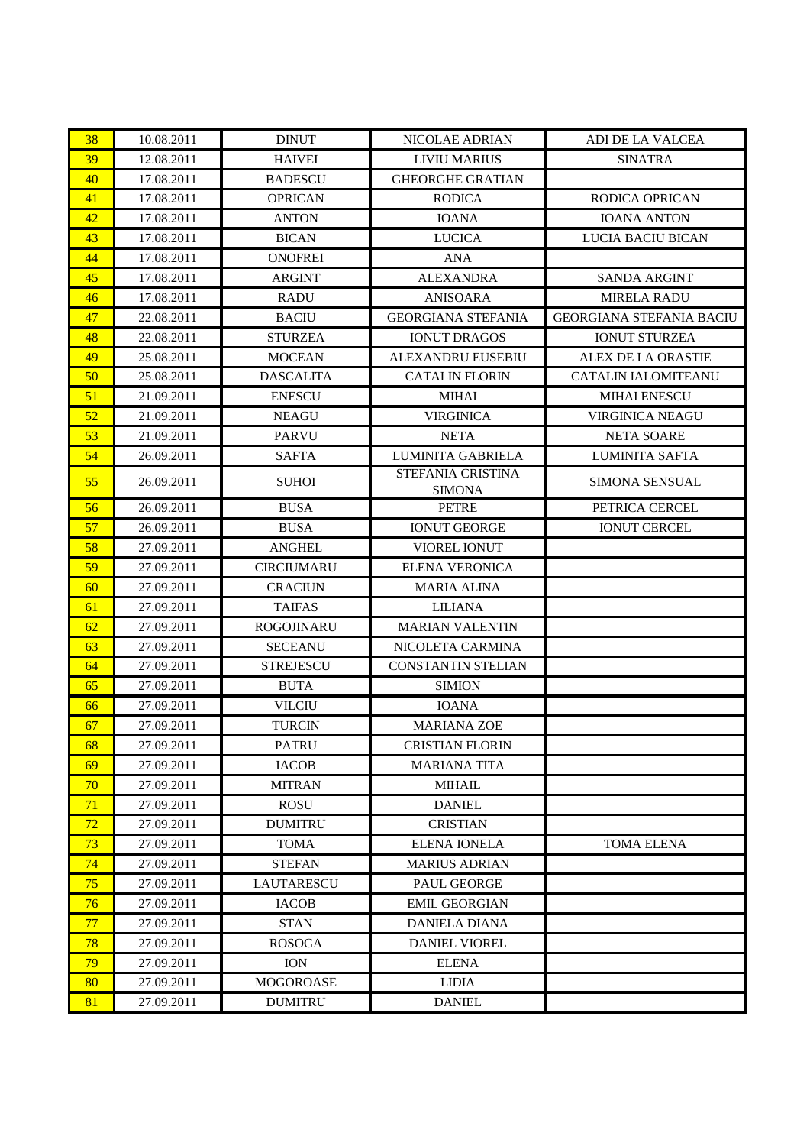| 38 | 10.08.2011 | <b>DINUT</b>      | NICOLAE ADRIAN                     | ADI DE LA VALCEA                |
|----|------------|-------------------|------------------------------------|---------------------------------|
| 39 | 12.08.2011 | <b>HAIVEI</b>     | <b>LIVIU MARIUS</b>                | <b>SINATRA</b>                  |
| 40 | 17.08.2011 | <b>BADESCU</b>    | <b>GHEORGHE GRATIAN</b>            |                                 |
| 41 | 17.08.2011 | <b>OPRICAN</b>    | <b>RODICA</b>                      | <b>RODICA OPRICAN</b>           |
| 42 | 17.08.2011 | <b>ANTON</b>      | <b>IOANA</b>                       | <b>IOANA ANTON</b>              |
| 43 | 17.08.2011 | <b>BICAN</b>      | <b>LUCICA</b>                      | LUCIA BACIU BICAN               |
| 44 | 17.08.2011 | <b>ONOFREI</b>    | <b>ANA</b>                         |                                 |
| 45 | 17.08.2011 | <b>ARGINT</b>     | <b>ALEXANDRA</b>                   | <b>SANDA ARGINT</b>             |
| 46 | 17.08.2011 | <b>RADU</b>       | <b>ANISOARA</b>                    | <b>MIRELA RADU</b>              |
| 47 | 22.08.2011 | <b>BACIU</b>      | <b>GEORGIANA STEFANIA</b>          | <b>GEORGIANA STEFANIA BACIU</b> |
| 48 | 22.08.2011 | <b>STURZEA</b>    | <b>IONUT DRAGOS</b>                | <b>IONUT STURZEA</b>            |
| 49 | 25.08.2011 | <b>MOCEAN</b>     | ALEXANDRU EUSEBIU                  | ALEX DE LA ORASTIE              |
| 50 | 25.08.2011 | <b>DASCALITA</b>  | <b>CATALIN FLORIN</b>              | <b>CATALIN IALOMITEANU</b>      |
| 51 | 21.09.2011 | <b>ENESCU</b>     | <b>MIHAI</b>                       | <b>MIHAI ENESCU</b>             |
| 52 | 21.09.2011 | <b>NEAGU</b>      | <b>VIRGINICA</b>                   | <b>VIRGINICA NEAGU</b>          |
| 53 | 21.09.2011 | <b>PARVU</b>      | <b>NETA</b>                        | <b>NETA SOARE</b>               |
| 54 | 26.09.2011 | <b>SAFTA</b>      | LUMINITA GABRIELA                  | LUMINITA SAFTA                  |
| 55 | 26.09.2011 | <b>SUHOI</b>      | STEFANIA CRISTINA<br><b>SIMONA</b> | <b>SIMONA SENSUAL</b>           |
| 56 | 26.09.2011 | <b>BUSA</b>       | <b>PETRE</b>                       | PETRICA CERCEL                  |
| 57 | 26.09.2011 | <b>BUSA</b>       | <b>IONUT GEORGE</b>                | <b>IONUT CERCEL</b>             |
| 58 | 27.09.2011 | <b>ANGHEL</b>     | VIOREL IONUT                       |                                 |
| 59 | 27.09.2011 | <b>CIRCIUMARU</b> | <b>ELENA VERONICA</b>              |                                 |
| 60 | 27.09.2011 | <b>CRACIUN</b>    | <b>MARIA ALINA</b>                 |                                 |
| 61 | 27.09.2011 | <b>TAIFAS</b>     | <b>LILIANA</b>                     |                                 |
| 62 | 27.09.2011 | <b>ROGOJINARU</b> | <b>MARIAN VALENTIN</b>             |                                 |
| 63 | 27.09.2011 | <b>SECEANU</b>    | NICOLETA CARMINA                   |                                 |
| 64 | 27.09.2011 | <b>STREJESCU</b>  | <b>CONSTANTIN STELIAN</b>          |                                 |
| 65 | 27.09.2011 | <b>BUTA</b>       | <b>SIMION</b>                      |                                 |
| 66 | 27.09.2011 | <b>VILCIU</b>     | <b>IOANA</b>                       |                                 |
| 67 | 27.09.2011 | <b>TURCIN</b>     | <b>MARIANA ZOE</b>                 |                                 |
| 68 | 27.09.2011 | <b>PATRU</b>      | <b>CRISTIAN FLORIN</b>             |                                 |
| 69 | 27.09.2011 | <b>IACOB</b>      | <b>MARIANA TITA</b>                |                                 |
| 70 | 27.09.2011 | <b>MITRAN</b>     | <b>MIHAIL</b>                      |                                 |
| 71 | 27.09.2011 | <b>ROSU</b>       | <b>DANIEL</b>                      |                                 |
| 72 | 27.09.2011 | <b>DUMITRU</b>    | <b>CRISTIAN</b>                    |                                 |
| 73 | 27.09.2011 | <b>TOMA</b>       | <b>ELENA IONELA</b>                | TOMA ELENA                      |
| 74 | 27.09.2011 | <b>STEFAN</b>     | <b>MARIUS ADRIAN</b>               |                                 |
| 75 | 27.09.2011 | <b>LAUTARESCU</b> | PAUL GEORGE                        |                                 |
| 76 | 27.09.2011 | <b>IACOB</b>      | <b>EMIL GEORGIAN</b>               |                                 |
| 77 | 27.09.2011 | <b>STAN</b>       | <b>DANIELA DIANA</b>               |                                 |
| 78 | 27.09.2011 | <b>ROSOGA</b>     | <b>DANIEL VIOREL</b>               |                                 |
| 79 | 27.09.2011 | <b>ION</b>        | <b>ELENA</b>                       |                                 |
| 80 | 27.09.2011 | <b>MOGOROASE</b>  | <b>LIDIA</b>                       |                                 |
| 81 | 27.09.2011 | <b>DUMITRU</b>    | <b>DANIEL</b>                      |                                 |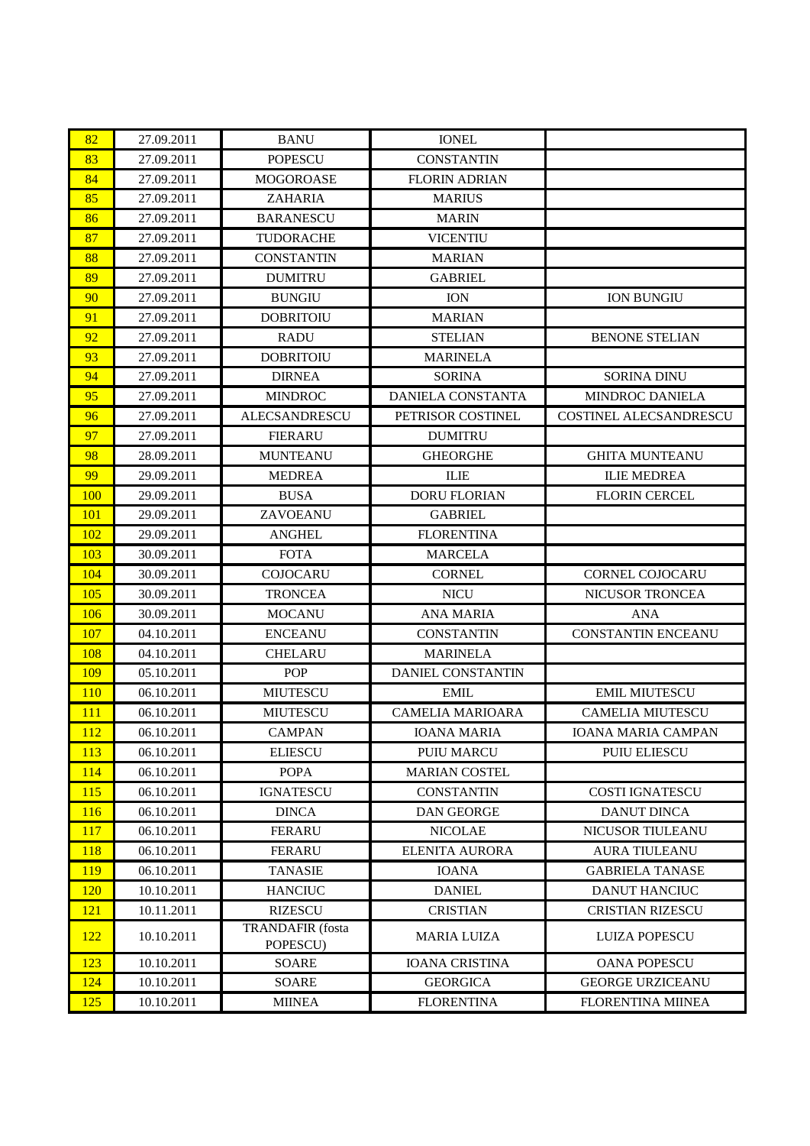| 82         | 27.09.2011 | <b>BANU</b>                         | <b>IONEL</b>             |                               |
|------------|------------|-------------------------------------|--------------------------|-------------------------------|
| 83         | 27.09.2011 | <b>POPESCU</b>                      | <b>CONSTANTIN</b>        |                               |
| 84         | 27.09.2011 | <b>MOGOROASE</b>                    | <b>FLORIN ADRIAN</b>     |                               |
| 85         | 27.09.2011 | <b>ZAHARIA</b>                      | <b>MARIUS</b>            |                               |
| 86         | 27.09.2011 | <b>BARANESCU</b>                    | <b>MARIN</b>             |                               |
| 87         | 27.09.2011 | TUDORACHE                           | <b>VICENTIU</b>          |                               |
| 88         | 27.09.2011 | <b>CONSTANTIN</b>                   | <b>MARIAN</b>            |                               |
| 89         | 27.09.2011 | <b>DUMITRU</b>                      | <b>GABRIEL</b>           |                               |
| 90         | 27.09.2011 | <b>BUNGIU</b>                       | <b>ION</b>               | <b>ION BUNGIU</b>             |
| 91         | 27.09.2011 | <b>DOBRITOIU</b>                    | <b>MARIAN</b>            |                               |
| 92         | 27.09.2011 | <b>RADU</b>                         | <b>STELIAN</b>           | <b>BENONE STELIAN</b>         |
| 93         | 27.09.2011 | <b>DOBRITOIU</b>                    | <b>MARINELA</b>          |                               |
| 94         | 27.09.2011 | <b>DIRNEA</b>                       | <b>SORINA</b>            | <b>SORINA DINU</b>            |
| 95         | 27.09.2011 | <b>MINDROC</b>                      | <b>DANIELA CONSTANTA</b> | MINDROC DANIELA               |
| 96         | 27.09.2011 | <b>ALECSANDRESCU</b>                | PETRISOR COSTINEL        | <b>COSTINEL ALECSANDRESCU</b> |
| 97         | 27.09.2011 | <b>FIERARU</b>                      | <b>DUMITRU</b>           |                               |
| 98         | 28.09.2011 | <b>MUNTEANU</b>                     | <b>GHEORGHE</b>          | <b>GHITA MUNTEANU</b>         |
| 99         | 29.09.2011 | <b>MEDREA</b>                       | <b>ILIE</b>              | <b>ILIE MEDREA</b>            |
| 100        | 29.09.2011 | <b>BUSA</b>                         | <b>DORU FLORIAN</b>      | <b>FLORIN CERCEL</b>          |
| <b>101</b> | 29.09.2011 | ZAVOEANU                            | <b>GABRIEL</b>           |                               |
| 102        | 29.09.2011 | <b>ANGHEL</b>                       | <b>FLORENTINA</b>        |                               |
| 103        | 30.09.2011 | <b>FOTA</b>                         | <b>MARCELA</b>           |                               |
| 104        | 30.09.2011 | <b>COJOCARU</b>                     | <b>CORNEL</b>            | <b>CORNEL COJOCARU</b>        |
| 105        | 30.09.2011 | <b>TRONCEA</b>                      | <b>NICU</b>              | NICUSOR TRONCEA               |
| 106        | 30.09.2011 | <b>MOCANU</b>                       | <b>ANA MARIA</b>         | <b>ANA</b>                    |
| 107        | 04.10.2011 | <b>ENCEANU</b>                      | <b>CONSTANTIN</b>        | <b>CONSTANTIN ENCEANU</b>     |
| 108        | 04.10.2011 | <b>CHELARU</b>                      | <b>MARINELA</b>          |                               |
| 109        | 05.10.2011 | <b>POP</b>                          | DANIEL CONSTANTIN        |                               |
| <b>110</b> | 06.10.2011 | <b>MIUTESCU</b>                     | EMIL                     | <b>EMIL MIUTESCU</b>          |
| 111        | 06.10.2011 | <b>MIUTESCU</b>                     | <b>CAMELIA MARIOARA</b>  | <b>CAMELIA MIUTESCU</b>       |
| 112        | 06.10.2011 | <b>CAMPAN</b>                       | <b>IOANA MARIA</b>       | <b>IOANA MARIA CAMPAN</b>     |
| 113        | 06.10.2011 | <b>ELIESCU</b>                      | <b>PUIU MARCU</b>        | <b>PUIU ELIESCU</b>           |
| 114        | 06.10.2011 | <b>POPA</b>                         | <b>MARIAN COSTEL</b>     |                               |
| <b>115</b> | 06.10.2011 | <b>IGNATESCU</b>                    | <b>CONSTANTIN</b>        | <b>COSTI IGNATESCU</b>        |
| 116        | 06.10.2011 | <b>DINCA</b>                        | <b>DAN GEORGE</b>        | <b>DANUT DINCA</b>            |
| 117        | 06.10.2011 | <b>FERARU</b>                       | <b>NICOLAE</b>           | NICUSOR TIULEANU              |
| 118        | 06.10.2011 | <b>FERARU</b>                       | <b>ELENITA AURORA</b>    | <b>AURA TIULEANU</b>          |
| 119        | 06.10.2011 | <b>TANASIE</b>                      | <b>IOANA</b>             | <b>GABRIELA TANASE</b>        |
| <b>120</b> | 10.10.2011 | <b>HANCIUC</b>                      | <b>DANIEL</b>            | <b>DANUT HANCIUC</b>          |
| 121        | 10.11.2011 | <b>RIZESCU</b>                      | <b>CRISTIAN</b>          | <b>CRISTIAN RIZESCU</b>       |
| 122        | 10.10.2011 | <b>TRANDAFIR</b> (fosta<br>POPESCU) | <b>MARIA LUIZA</b>       | <b>LUIZA POPESCU</b>          |
| 123        | 10.10.2011 | SOARE                               | <b>IOANA CRISTINA</b>    | <b>OANA POPESCU</b>           |
| 124        | 10.10.2011 | SOARE                               | <b>GEORGICA</b>          | <b>GEORGE URZICEANU</b>       |
| 125        | 10.10.2011 | <b>MIINEA</b>                       | <b>FLORENTINA</b>        | <b>FLORENTINA MIINEA</b>      |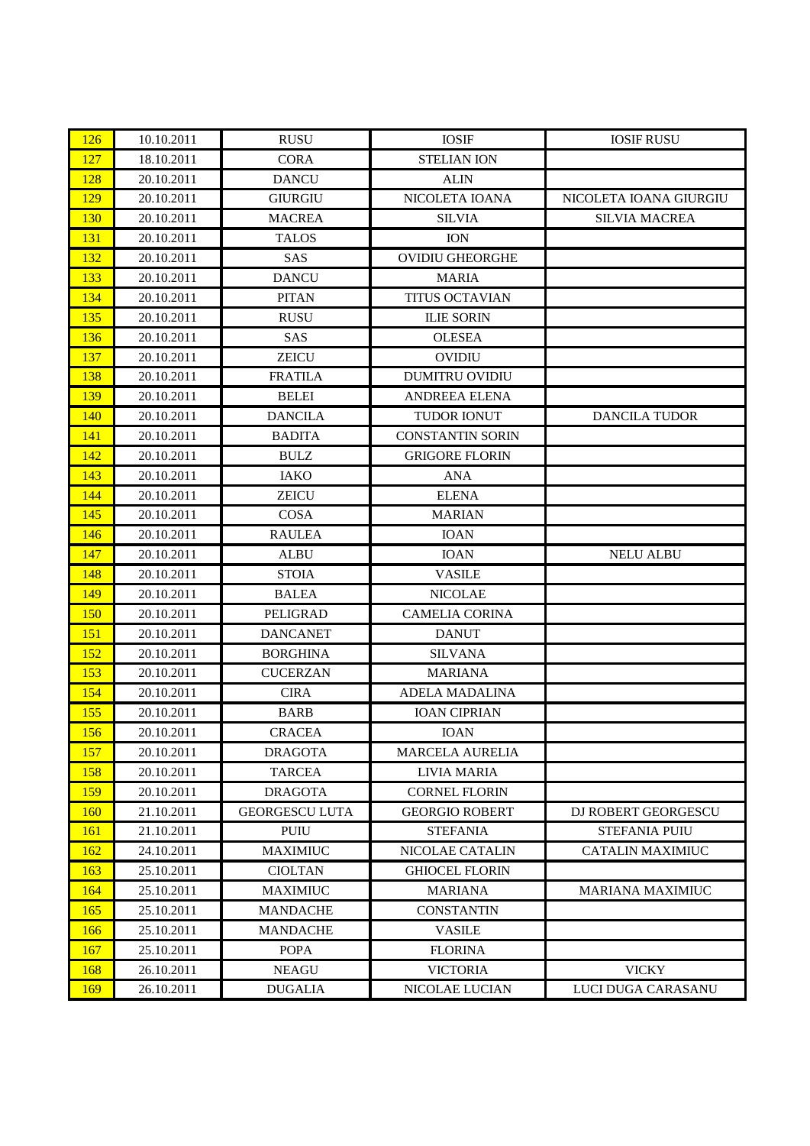| 126        | 10.10.2011 | <b>RUSU</b>           | <b>IOSIF</b>            | <b>IOSIF RUSU</b>       |
|------------|------------|-----------------------|-------------------------|-------------------------|
| 127        | 18.10.2011 | <b>CORA</b>           | <b>STELIAN ION</b>      |                         |
| 128        | 20.10.2011 | <b>DANCU</b>          | <b>ALIN</b>             |                         |
| 129        | 20.10.2011 | <b>GIURGIU</b>        | NICOLETA IOANA          | NICOLETA IOANA GIURGIU  |
| <b>130</b> | 20.10.2011 | <b>MACREA</b>         | <b>SILVIA</b>           | <b>SILVIA MACREA</b>    |
| 131        | 20.10.2011 | <b>TALOS</b>          | <b>ION</b>              |                         |
| 132        | 20.10.2011 | SAS                   | <b>OVIDIU GHEORGHE</b>  |                         |
| 133        | 20.10.2011 | <b>DANCU</b>          | <b>MARIA</b>            |                         |
| 134        | 20.10.2011 | <b>PITAN</b>          | <b>TITUS OCTAVIAN</b>   |                         |
| 135        | 20.10.2011 | <b>RUSU</b>           | <b>ILIE SORIN</b>       |                         |
| 136        | 20.10.2011 | SAS                   | <b>OLESEA</b>           |                         |
| 137        | 20.10.2011 | <b>ZEICU</b>          | <b>OVIDIU</b>           |                         |
| 138        | 20.10.2011 | <b>FRATILA</b>        | <b>DUMITRU OVIDIU</b>   |                         |
| 139        | 20.10.2011 | <b>BELEI</b>          | <b>ANDREEA ELENA</b>    |                         |
| 140        | 20.10.2011 | <b>DANCILA</b>        | <b>TUDOR IONUT</b>      | <b>DANCILA TUDOR</b>    |
| 141        | 20.10.2011 | <b>BADITA</b>         | <b>CONSTANTIN SORIN</b> |                         |
| 142        | 20.10.2011 | <b>BULZ</b>           | <b>GRIGORE FLORIN</b>   |                         |
| 143        | 20.10.2011 | <b>IAKO</b>           | <b>ANA</b>              |                         |
| 144        | 20.10.2011 | <b>ZEICU</b>          | <b>ELENA</b>            |                         |
| 145        | 20.10.2011 | <b>COSA</b>           | <b>MARIAN</b>           |                         |
| 146        | 20.10.2011 | <b>RAULEA</b>         | <b>IOAN</b>             |                         |
| 147        | 20.10.2011 | <b>ALBU</b>           | <b>IOAN</b>             | <b>NELU ALBU</b>        |
| 148        | 20.10.2011 | <b>STOIA</b>          | <b>VASILE</b>           |                         |
| 149        | 20.10.2011 | <b>BALEA</b>          | <b>NICOLAE</b>          |                         |
| <b>150</b> | 20.10.2011 | PELIGRAD              | <b>CAMELIA CORINA</b>   |                         |
| <b>151</b> | 20.10.2011 | <b>DANCANET</b>       | <b>DANUT</b>            |                         |
| 152        | 20.10.2011 | <b>BORGHINA</b>       | <b>SILVANA</b>          |                         |
| 153        | 20.10.2011 | <b>CUCERZAN</b>       | <b>MARIANA</b>          |                         |
| 154        | 20.10.2011 | <b>CIRA</b>           | <b>ADELA MADALINA</b>   |                         |
| 155        | 20.10.2011 | <b>BARB</b>           | <b>IOAN CIPRIAN</b>     |                         |
| 156        | 20.10.2011 | <b>CRACEA</b>         | <b>IOAN</b>             |                         |
| 157        | 20.10.2011 | <b>DRAGOTA</b>        | <b>MARCELA AURELIA</b>  |                         |
| 158        | 20.10.2011 | <b>TARCEA</b>         | <b>LIVIA MARIA</b>      |                         |
| 159        | 20.10.2011 | <b>DRAGOTA</b>        | <b>CORNEL FLORIN</b>    |                         |
| <b>160</b> | 21.10.2011 | <b>GEORGESCU LUTA</b> | <b>GEORGIO ROBERT</b>   | DJ ROBERT GEORGESCU     |
| <b>161</b> | 21.10.2011 | <b>PUIU</b>           | <b>STEFANIA</b>         | <b>STEFANIA PUIU</b>    |
| 162        | 24.10.2011 | <b>MAXIMIUC</b>       | NICOLAE CATALIN         | <b>CATALIN MAXIMIUC</b> |
| <b>163</b> | 25.10.2011 | <b>CIOLTAN</b>        | <b>GHIOCEL FLORIN</b>   |                         |
| 164        | 25.10.2011 | <b>MAXIMIUC</b>       | <b>MARIANA</b>          | <b>MARIANA MAXIMIUC</b> |
| 165        | 25.10.2011 | <b>MANDACHE</b>       | <b>CONSTANTIN</b>       |                         |
| 166        | 25.10.2011 | <b>MANDACHE</b>       | <b>VASILE</b>           |                         |
| <b>167</b> | 25.10.2011 | <b>POPA</b>           | <b>FLORINA</b>          |                         |
| 168        | 26.10.2011 | <b>NEAGU</b>          | <b>VICTORIA</b>         | <b>VICKY</b>            |
| 169        | 26.10.2011 | <b>DUGALIA</b>        | NICOLAE LUCIAN          | LUCI DUGA CARASANU      |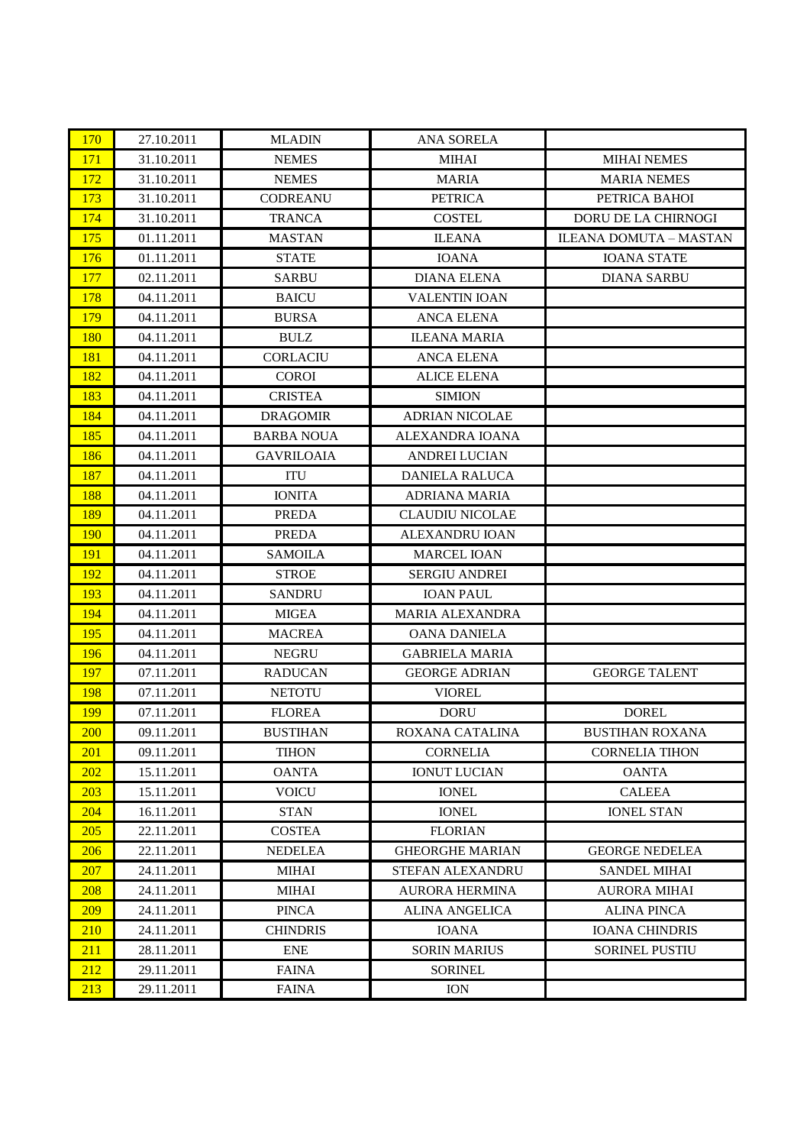| 170        | 27.10.2011 | <b>MLADIN</b>     | <b>ANA SORELA</b>       |                        |
|------------|------------|-------------------|-------------------------|------------------------|
| 171        | 31.10.2011 | <b>NEMES</b>      | <b>MIHAI</b>            | <b>MIHAI NEMES</b>     |
| 172        | 31.10.2011 | <b>NEMES</b>      | <b>MARIA</b>            | <b>MARIA NEMES</b>     |
| 173        | 31.10.2011 | <b>CODREANU</b>   | <b>PETRICA</b>          | PETRICA BAHOI          |
| 174        | 31.10.2011 | <b>TRANCA</b>     | <b>COSTEL</b>           | DORU DE LA CHIRNOGI    |
| 175        | 01.11.2011 | <b>MASTAN</b>     | <b>ILEANA</b>           | ILEANA DOMUTA - MASTAN |
| 176        | 01.11.2011 | <b>STATE</b>      | <b>IOANA</b>            | <b>IOANA STATE</b>     |
| 177        | 02.11.2011 | <b>SARBU</b>      | <b>DIANA ELENA</b>      | <b>DIANA SARBU</b>     |
| 178        | 04.11.2011 | <b>BAICU</b>      | <b>VALENTIN IOAN</b>    |                        |
| 179        | 04.11.2011 | <b>BURSA</b>      | <b>ANCA ELENA</b>       |                        |
| 180        | 04.11.2011 | <b>BULZ</b>       | <b>ILEANA MARIA</b>     |                        |
| 181        | 04.11.2011 | <b>CORLACIU</b>   | <b>ANCA ELENA</b>       |                        |
| 182        | 04.11.2011 | <b>COROI</b>      | <b>ALICE ELENA</b>      |                        |
| 183        | 04.11.2011 | <b>CRISTEA</b>    | <b>SIMION</b>           |                        |
| 184        | 04.11.2011 | <b>DRAGOMIR</b>   | <b>ADRIAN NICOLAE</b>   |                        |
| 185        | 04.11.2011 | <b>BARBA NOUA</b> | ALEXANDRA IOANA         |                        |
| 186        | 04.11.2011 | <b>GAVRILOAIA</b> | <b>ANDREI LUCIAN</b>    |                        |
| 187        | 04.11.2011 | ITU               | <b>DANIELA RALUCA</b>   |                        |
| 188        | 04.11.2011 | <b>IONITA</b>     | <b>ADRIANA MARIA</b>    |                        |
| 189        | 04.11.2011 | <b>PREDA</b>      | <b>CLAUDIU NICOLAE</b>  |                        |
| <b>190</b> | 04.11.2011 | <b>PREDA</b>      | ALEXANDRU IOAN          |                        |
| 191        | 04.11.2011 | <b>SAMOILA</b>    | <b>MARCEL IOAN</b>      |                        |
| 192        | 04.11.2011 | <b>STROE</b>      | <b>SERGIU ANDREI</b>    |                        |
| 193        | 04.11.2011 | <b>SANDRU</b>     | <b>IOAN PAUL</b>        |                        |
| 194        | 04.11.2011 | <b>MIGEA</b>      | <b>MARIA ALEXANDRA</b>  |                        |
| 195        | 04.11.2011 | <b>MACREA</b>     | <b>OANA DANIELA</b>     |                        |
| 196        | 04.11.2011 | <b>NEGRU</b>      | <b>GABRIELA MARIA</b>   |                        |
| 197        | 07.11.2011 | <b>RADUCAN</b>    | <b>GEORGE ADRIAN</b>    | <b>GEORGE TALENT</b>   |
| 198        | 07.11.2011 | <b>NETOTU</b>     | <b>VIOREL</b>           |                        |
| 199        | 07.11.2011 | <b>FLOREA</b>     | <b>DORU</b>             | <b>DOREL</b>           |
| 200        | 09.11.2011 | <b>BUSTIHAN</b>   | ROXANA CATALINA         | <b>BUSTIHAN ROXANA</b> |
| 201        | 09.11.2011 | <b>TIHON</b>      | <b>CORNELIA</b>         | <b>CORNELIA TIHON</b>  |
| 202        | 15.11.2011 | <b>OANTA</b>      | <b>IONUT LUCIAN</b>     | <b>OANTA</b>           |
| 203        | 15.11.2011 | <b>VOICU</b>      | <b>IONEL</b>            | <b>CALEEA</b>          |
| 204        | 16.11.2011 | <b>STAN</b>       | <b>IONEL</b>            | <b>IONEL STAN</b>      |
| 205        | 22.11.2011 | <b>COSTEA</b>     | <b>FLORIAN</b>          |                        |
| 206        | 22.11.2011 | <b>NEDELEA</b>    | <b>GHEORGHE MARIAN</b>  | <b>GEORGE NEDELEA</b>  |
| <b>207</b> | 24.11.2011 | MIHAI             | <b>STEFAN ALEXANDRU</b> | <b>SANDEL MIHAI</b>    |
| 208        | 24.11.2011 | <b>MIHAI</b>      | <b>AURORA HERMINA</b>   | <b>AURORA MIHAI</b>    |
| 209        | 24.11.2011 | <b>PINCA</b>      | <b>ALINA ANGELICA</b>   | <b>ALINA PINCA</b>     |
| 210        | 24.11.2011 | <b>CHINDRIS</b>   | <b>IOANA</b>            | <b>IOANA CHINDRIS</b>  |
| 211        | 28.11.2011 | ${\rm ENE}$       | <b>SORIN MARIUS</b>     | <b>SORINEL PUSTIU</b>  |
| 212        | 29.11.2011 | <b>FAINA</b>      | <b>SORINEL</b>          |                        |
| 213        | 29.11.2011 | <b>FAINA</b>      | <b>ION</b>              |                        |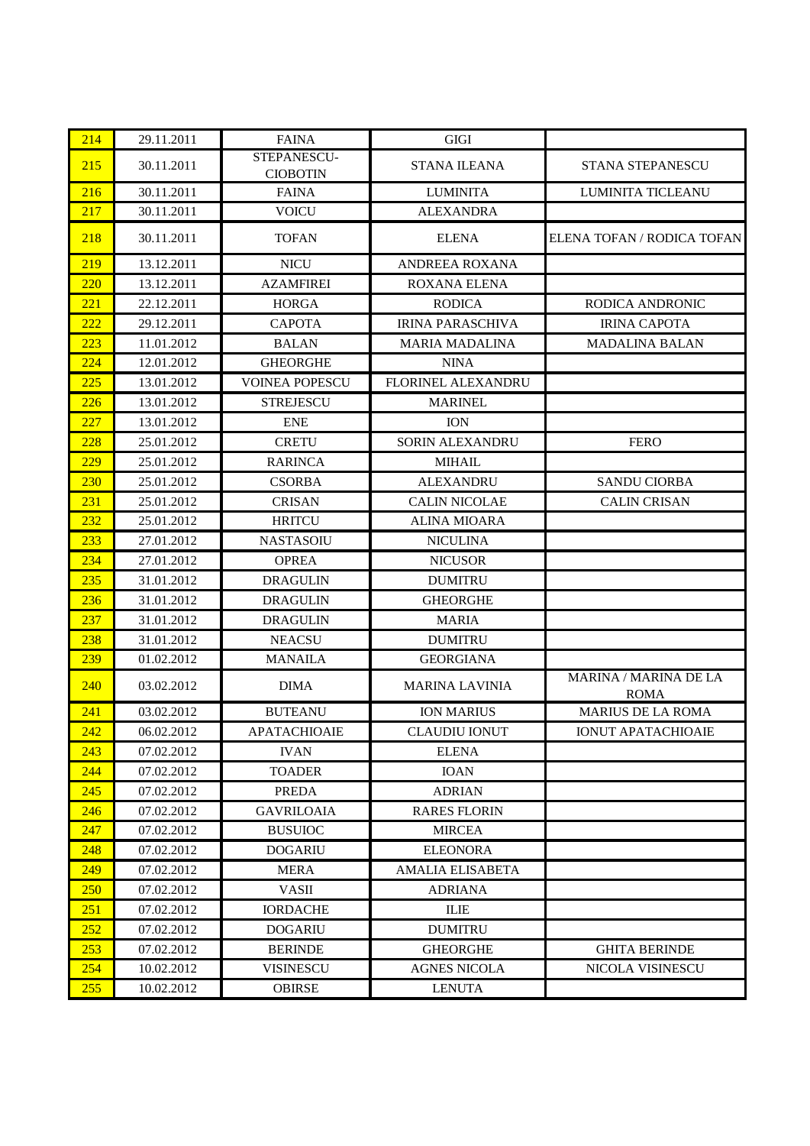| 214 | 29.11.2011 | <b>FAINA</b>                   | <b>GIGI</b>             |                                             |
|-----|------------|--------------------------------|-------------------------|---------------------------------------------|
| 215 | 30.11.2011 | STEPANESCU-<br><b>CIOBOTIN</b> | <b>STANA ILEANA</b>     | <b>STANA STEPANESCU</b>                     |
| 216 | 30.11.2011 | <b>FAINA</b>                   | <b>LUMINITA</b>         | LUMINITA TICLEANU                           |
| 217 | 30.11.2011 | <b>VOICU</b>                   | <b>ALEXANDRA</b>        |                                             |
| 218 | 30.11.2011 | <b>TOFAN</b>                   | <b>ELENA</b>            | ELENA TOFAN / RODICA TOFAN                  |
| 219 | 13.12.2011 | <b>NICU</b>                    | ANDREEA ROXANA          |                                             |
| 220 | 13.12.2011 | <b>AZAMFIREI</b>               | ROXANA ELENA            |                                             |
| 221 | 22.12.2011 | <b>HORGA</b>                   | <b>RODICA</b>           | RODICA ANDRONIC                             |
| 222 | 29.12.2011 | <b>CAPOTA</b>                  | <b>IRINA PARASCHIVA</b> | <b>IRINA CAPOTA</b>                         |
| 223 | 11.01.2012 | <b>BALAN</b>                   | <b>MARIA MADALINA</b>   | <b>MADALINA BALAN</b>                       |
| 224 | 12.01.2012 | <b>GHEORGHE</b>                | <b>NINA</b>             |                                             |
| 225 | 13.01.2012 | <b>VOINEA POPESCU</b>          | FLORINEL ALEXANDRU      |                                             |
| 226 | 13.01.2012 | <b>STREJESCU</b>               | <b>MARINEL</b>          |                                             |
| 227 | 13.01.2012 | <b>ENE</b>                     | <b>ION</b>              |                                             |
| 228 | 25.01.2012 | <b>CRETU</b>                   | <b>SORIN ALEXANDRU</b>  | <b>FERO</b>                                 |
| 229 | 25.01.2012 | <b>RARINCA</b>                 | <b>MIHAIL</b>           |                                             |
| 230 | 25.01.2012 | <b>CSORBA</b>                  | <b>ALEXANDRU</b>        | <b>SANDU CIORBA</b>                         |
| 231 | 25.01.2012 | <b>CRISAN</b>                  | <b>CALIN NICOLAE</b>    | <b>CALIN CRISAN</b>                         |
| 232 | 25.01.2012 | <b>HRITCU</b>                  | <b>ALINA MIOARA</b>     |                                             |
| 233 | 27.01.2012 | <b>NASTASOIU</b>               | <b>NICULINA</b>         |                                             |
| 234 | 27.01.2012 | <b>OPREA</b>                   | <b>NICUSOR</b>          |                                             |
| 235 | 31.01.2012 | <b>DRAGULIN</b>                | <b>DUMITRU</b>          |                                             |
| 236 | 31.01.2012 | <b>DRAGULIN</b>                | <b>GHEORGHE</b>         |                                             |
| 237 | 31.01.2012 | <b>DRAGULIN</b>                | <b>MARIA</b>            |                                             |
| 238 | 31.01.2012 | <b>NEACSU</b>                  | <b>DUMITRU</b>          |                                             |
| 239 | 01.02.2012 | <b>MANAILA</b>                 | <b>GEORGIANA</b>        |                                             |
| 240 | 03.02.2012 | <b>DIMA</b>                    | <b>MARINA LAVINIA</b>   | <b>MARINA / MARINA DE LA</b><br><b>ROMA</b> |
| 241 | 03.02.2012 | <b>BUTEANU</b>                 | <b>ION MARIUS</b>       | <b>MARIUS DE LA ROMA</b>                    |
| 242 | 06.02.2012 | <b>APATACHIOAIE</b>            | <b>CLAUDIU IONUT</b>    | <b>IONUT APATACHIOAIE</b>                   |
| 243 | 07.02.2012 | <b>IVAN</b>                    | <b>ELENA</b>            |                                             |
| 244 | 07.02.2012 | <b>TOADER</b>                  | <b>IOAN</b>             |                                             |
| 245 | 07.02.2012 | <b>PREDA</b>                   | <b>ADRIAN</b>           |                                             |
| 246 | 07.02.2012 | <b>GAVRILOAIA</b>              | <b>RARES FLORIN</b>     |                                             |
| 247 | 07.02.2012 | <b>BUSUIOC</b>                 | <b>MIRCEA</b>           |                                             |
| 248 | 07.02.2012 | <b>DOGARIU</b>                 | <b>ELEONORA</b>         |                                             |
| 249 | 07.02.2012 | <b>MERA</b>                    | <b>AMALIA ELISABETA</b> |                                             |
| 250 | 07.02.2012 | <b>VASII</b>                   | <b>ADRIANA</b>          |                                             |
| 251 | 07.02.2012 | <b>IORDACHE</b>                | <b>ILIE</b>             |                                             |
| 252 | 07.02.2012 | <b>DOGARIU</b>                 | <b>DUMITRU</b>          |                                             |
| 253 | 07.02.2012 | <b>BERINDE</b>                 | <b>GHEORGHE</b>         | <b>GHITA BERINDE</b>                        |
| 254 | 10.02.2012 | <b>VISINESCU</b>               | <b>AGNES NICOLA</b>     | NICOLA VISINESCU                            |
| 255 | 10.02.2012 | <b>OBIRSE</b>                  | <b>LENUTA</b>           |                                             |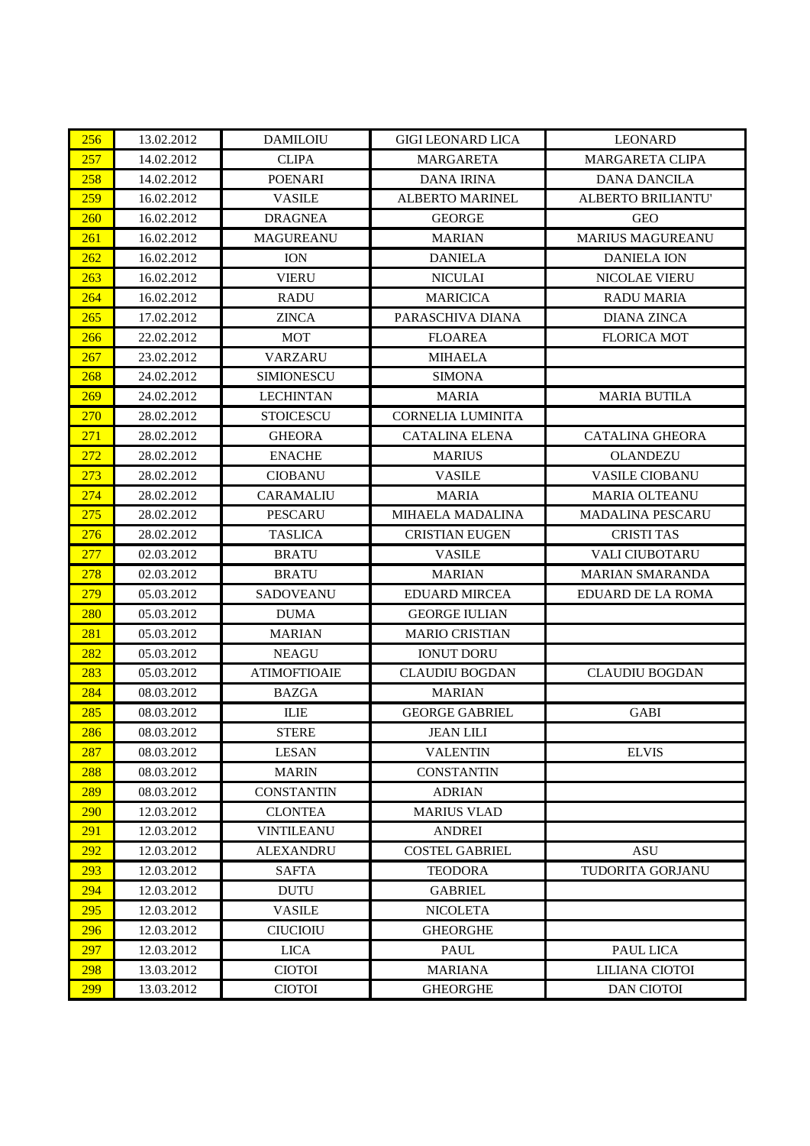| 256 | 13.02.2012 | <b>DAMILOIU</b>     | <b>GIGI LEONARD LICA</b> | <b>LEONARD</b>          |
|-----|------------|---------------------|--------------------------|-------------------------|
| 257 | 14.02.2012 | <b>CLIPA</b>        | <b>MARGARETA</b>         | <b>MARGARETA CLIPA</b>  |
| 258 | 14.02.2012 | <b>POENARI</b>      | <b>DANA IRINA</b>        | <b>DANA DANCILA</b>     |
| 259 | 16.02.2012 | <b>VASILE</b>       | ALBERTO MARINEL          | ALBERTO BRILIANTU'      |
| 260 | 16.02.2012 | <b>DRAGNEA</b>      | <b>GEORGE</b>            | <b>GEO</b>              |
| 261 | 16.02.2012 | <b>MAGUREANU</b>    | <b>MARIAN</b>            | <b>MARIUS MAGUREANU</b> |
| 262 | 16.02.2012 | <b>ION</b>          | <b>DANIELA</b>           | <b>DANIELA ION</b>      |
| 263 | 16.02.2012 | <b>VIERU</b>        | <b>NICULAI</b>           | NICOLAE VIERU           |
| 264 | 16.02.2012 | <b>RADU</b>         | <b>MARICICA</b>          | <b>RADU MARIA</b>       |
| 265 | 17.02.2012 | <b>ZINCA</b>        | PARASCHIVA DIANA         | <b>DIANA ZINCA</b>      |
| 266 | 22.02.2012 | <b>MOT</b>          | <b>FLOAREA</b>           | <b>FLORICA MOT</b>      |
| 267 | 23.02.2012 | <b>VARZARU</b>      | <b>MIHAELA</b>           |                         |
| 268 | 24.02.2012 | <b>SIMIONESCU</b>   | <b>SIMONA</b>            |                         |
| 269 | 24.02.2012 | <b>LECHINTAN</b>    | <b>MARIA</b>             | <b>MARIA BUTILA</b>     |
| 270 | 28.02.2012 | STOICESCU           | <b>CORNELIA LUMINITA</b> |                         |
| 271 | 28.02.2012 | <b>GHEORA</b>       | <b>CATALINA ELENA</b>    | <b>CATALINA GHEORA</b>  |
| 272 | 28.02.2012 | <b>ENACHE</b>       | <b>MARIUS</b>            | <b>OLANDEZU</b>         |
| 273 | 28.02.2012 | <b>CIOBANU</b>      | <b>VASILE</b>            | <b>VASILE CIOBANU</b>   |
| 274 | 28.02.2012 | <b>CARAMALIU</b>    | <b>MARIA</b>             | MARIA OLTEANU           |
| 275 | 28.02.2012 | <b>PESCARU</b>      | <b>MIHAELA MADALINA</b>  | <b>MADALINA PESCARU</b> |
| 276 | 28.02.2012 | <b>TASLICA</b>      | <b>CRISTIAN EUGEN</b>    | <b>CRISTI TAS</b>       |
| 277 | 02.03.2012 | <b>BRATU</b>        | <b>VASILE</b>            | <b>VALI CIUBOTARU</b>   |
| 278 | 02.03.2012 | <b>BRATU</b>        | <b>MARIAN</b>            | <b>MARIAN SMARANDA</b>  |
| 279 | 05.03.2012 | <b>SADOVEANU</b>    | <b>EDUARD MIRCEA</b>     | EDUARD DE LA ROMA       |
| 280 | 05.03.2012 | <b>DUMA</b>         | <b>GEORGE IULIAN</b>     |                         |
| 281 | 05.03.2012 | <b>MARIAN</b>       | <b>MARIO CRISTIAN</b>    |                         |
| 282 | 05.03.2012 | <b>NEAGU</b>        | <b>IONUT DORU</b>        |                         |
| 283 | 05.03.2012 | <b>ATIMOFTIOAIE</b> | <b>CLAUDIU BOGDAN</b>    | <b>CLAUDIU BOGDAN</b>   |
| 284 | 08.03.2012 | <b>BAZGA</b>        | <b>MARIAN</b>            |                         |
| 285 | 08.03.2012 | <b>ILIE</b>         | <b>GEORGE GABRIEL</b>    | <b>GABI</b>             |
| 286 | 08.03.2012 | <b>STERE</b>        | <b>JEAN LILI</b>         |                         |
| 287 | 08.03.2012 | <b>LESAN</b>        | <b>VALENTIN</b>          | <b>ELVIS</b>            |
| 288 | 08.03.2012 | <b>MARIN</b>        | <b>CONSTANTIN</b>        |                         |
| 289 | 08.03.2012 | <b>CONSTANTIN</b>   | <b>ADRIAN</b>            |                         |
| 290 | 12.03.2012 | <b>CLONTEA</b>      | <b>MARIUS VLAD</b>       |                         |
| 291 | 12.03.2012 | <b>VINTILEANU</b>   | <b>ANDREI</b>            |                         |
| 292 | 12.03.2012 | <b>ALEXANDRU</b>    | <b>COSTEL GABRIEL</b>    | <b>ASU</b>              |
| 293 | 12.03.2012 | <b>SAFTA</b>        | <b>TEODORA</b>           | TUDORITA GORJANU        |
| 294 | 12.03.2012 | <b>DUTU</b>         | <b>GABRIEL</b>           |                         |
| 295 | 12.03.2012 | <b>VASILE</b>       | <b>NICOLETA</b>          |                         |
| 296 | 12.03.2012 | <b>CIUCIOIU</b>     | <b>GHEORGHE</b>          |                         |
| 297 | 12.03.2012 | <b>LICA</b>         | <b>PAUL</b>              | PAUL LICA               |
| 298 | 13.03.2012 | <b>CIOTOI</b>       | <b>MARIANA</b>           | LILIANA CIOTOI          |
| 299 | 13.03.2012 | <b>CIOTOI</b>       | <b>GHEORGHE</b>          | <b>DAN CIOTOI</b>       |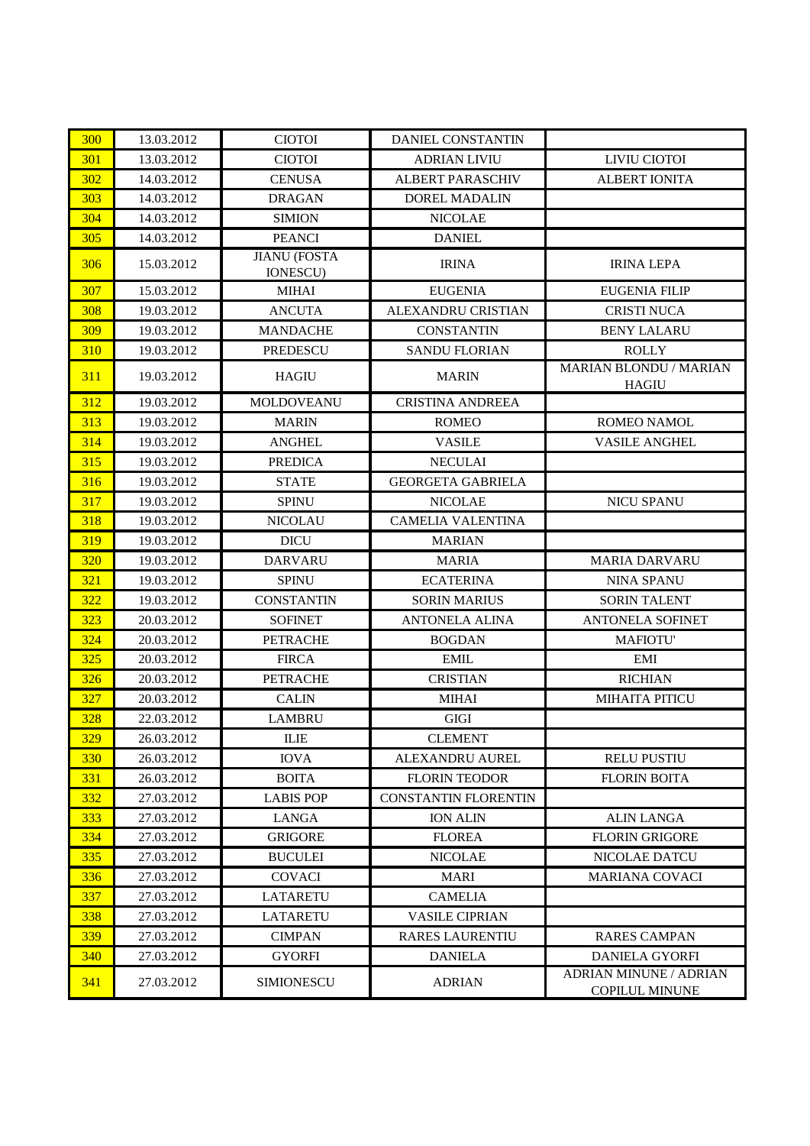| 300 | 13.03.2012 | <b>CIOTOI</b>                          | <b>DANIEL CONSTANTIN</b>    |                                                        |
|-----|------------|----------------------------------------|-----------------------------|--------------------------------------------------------|
| 301 | 13.03.2012 | <b>CIOTOI</b>                          | <b>ADRIAN LIVIU</b>         | LIVIU CIOTOI                                           |
| 302 | 14.03.2012 | <b>CENUSA</b>                          | <b>ALBERT PARASCHIV</b>     | <b>ALBERT IONITA</b>                                   |
| 303 | 14.03.2012 | <b>DRAGAN</b>                          | <b>DOREL MADALIN</b>        |                                                        |
| 304 | 14.03.2012 | <b>SIMION</b>                          | <b>NICOLAE</b>              |                                                        |
| 305 | 14.03.2012 | <b>PEANCI</b>                          | <b>DANIEL</b>               |                                                        |
| 306 | 15.03.2012 | <b>JIANU</b> (FOSTA<br><b>IONESCU)</b> | <b>IRINA</b>                | <b>IRINA LEPA</b>                                      |
| 307 | 15.03.2012 | <b>MIHAI</b>                           | <b>EUGENIA</b>              | <b>EUGENIA FILIP</b>                                   |
| 308 | 19.03.2012 | <b>ANCUTA</b>                          | <b>ALEXANDRU CRISTIAN</b>   | <b>CRISTI NUCA</b>                                     |
| 309 | 19.03.2012 | <b>MANDACHE</b>                        | <b>CONSTANTIN</b>           | <b>BENY LALARU</b>                                     |
| 310 | 19.03.2012 | PREDESCU                               | <b>SANDU FLORIAN</b>        | <b>ROLLY</b>                                           |
| 311 | 19.03.2012 | <b>HAGIU</b>                           | <b>MARIN</b>                | <b>MARIAN BLONDU / MARIAN</b><br><b>HAGIU</b>          |
| 312 | 19.03.2012 | MOLDOVEANU                             | <b>CRISTINA ANDREEA</b>     |                                                        |
| 313 | 19.03.2012 | <b>MARIN</b>                           | <b>ROMEO</b>                | ROMEO NAMOL                                            |
| 314 | 19.03.2012 | <b>ANGHEL</b>                          | <b>VASILE</b>               | <b>VASILE ANGHEL</b>                                   |
| 315 | 19.03.2012 | <b>PREDICA</b>                         | <b>NECULAI</b>              |                                                        |
| 316 | 19.03.2012 | <b>STATE</b>                           | <b>GEORGETA GABRIELA</b>    |                                                        |
| 317 | 19.03.2012 | <b>SPINU</b>                           | <b>NICOLAE</b>              | <b>NICU SPANU</b>                                      |
| 318 | 19.03.2012 | <b>NICOLAU</b>                         | <b>CAMELIA VALENTINA</b>    |                                                        |
| 319 | 19.03.2012 | <b>DICU</b>                            | <b>MARIAN</b>               |                                                        |
| 320 | 19.03.2012 | <b>DARVARU</b>                         | <b>MARIA</b>                | <b>MARIA DARVARU</b>                                   |
| 321 | 19.03.2012 | <b>SPINU</b>                           | <b>ECATERINA</b>            | <b>NINA SPANU</b>                                      |
| 322 | 19.03.2012 | <b>CONSTANTIN</b>                      | <b>SORIN MARIUS</b>         | <b>SORIN TALENT</b>                                    |
| 323 | 20.03.2012 | <b>SOFINET</b>                         | <b>ANTONELA ALINA</b>       | <b>ANTONELA SOFINET</b>                                |
| 324 | 20.03.2012 | <b>PETRACHE</b>                        | <b>BOGDAN</b>               | <b>MAFIOTU'</b>                                        |
| 325 | 20.03.2012 | <b>FIRCA</b>                           | <b>EMIL</b>                 | EMI                                                    |
| 326 | 20.03.2012 | <b>PETRACHE</b>                        | <b>CRISTIAN</b>             | <b>RICHIAN</b>                                         |
| 327 | 20.03.2012 | <b>CALIN</b>                           | <b>MIHAI</b>                | <b>MIHAITA PITICU</b>                                  |
| 328 | 22.03.2012 | <b>LAMBRU</b>                          | <b>GIGI</b>                 |                                                        |
| 329 | 26.03.2012 | ILIE                                   | <b>CLEMENT</b>              |                                                        |
| 330 | 26.03.2012 | <b>IOVA</b>                            | ALEXANDRU AUREL             | <b>RELU PUSTIU</b>                                     |
| 331 | 26.03.2012 | <b>BOITA</b>                           | <b>FLORIN TEODOR</b>        | <b>FLORIN BOITA</b>                                    |
| 332 | 27.03.2012 | <b>LABIS POP</b>                       | <b>CONSTANTIN FLORENTIN</b> |                                                        |
| 333 | 27.03.2012 | <b>LANGA</b>                           | <b>ION ALIN</b>             | <b>ALIN LANGA</b>                                      |
| 334 | 27.03.2012 | <b>GRIGORE</b>                         | <b>FLOREA</b>               | <b>FLORIN GRIGORE</b>                                  |
| 335 | 27.03.2012 | <b>BUCULEI</b>                         | <b>NICOLAE</b>              | NICOLAE DATCU                                          |
| 336 | 27.03.2012 | <b>COVACI</b>                          | <b>MARI</b>                 | <b>MARIANA COVACI</b>                                  |
| 337 | 27.03.2012 | <b>LATARETU</b>                        | <b>CAMELIA</b>              |                                                        |
| 338 | 27.03.2012 | <b>LATARETU</b>                        | <b>VASILE CIPRIAN</b>       |                                                        |
| 339 | 27.03.2012 | <b>CIMPAN</b>                          | <b>RARES LAURENTIU</b>      | <b>RARES CAMPAN</b>                                    |
| 340 | 27.03.2012 | <b>GYORFI</b>                          | <b>DANIELA</b>              | <b>DANIELA GYORFI</b>                                  |
| 341 | 27.03.2012 | <b>SIMIONESCU</b>                      | <b>ADRIAN</b>               | <b>ADRIAN MINUNE / ADRIAN</b><br><b>COPILUL MINUNE</b> |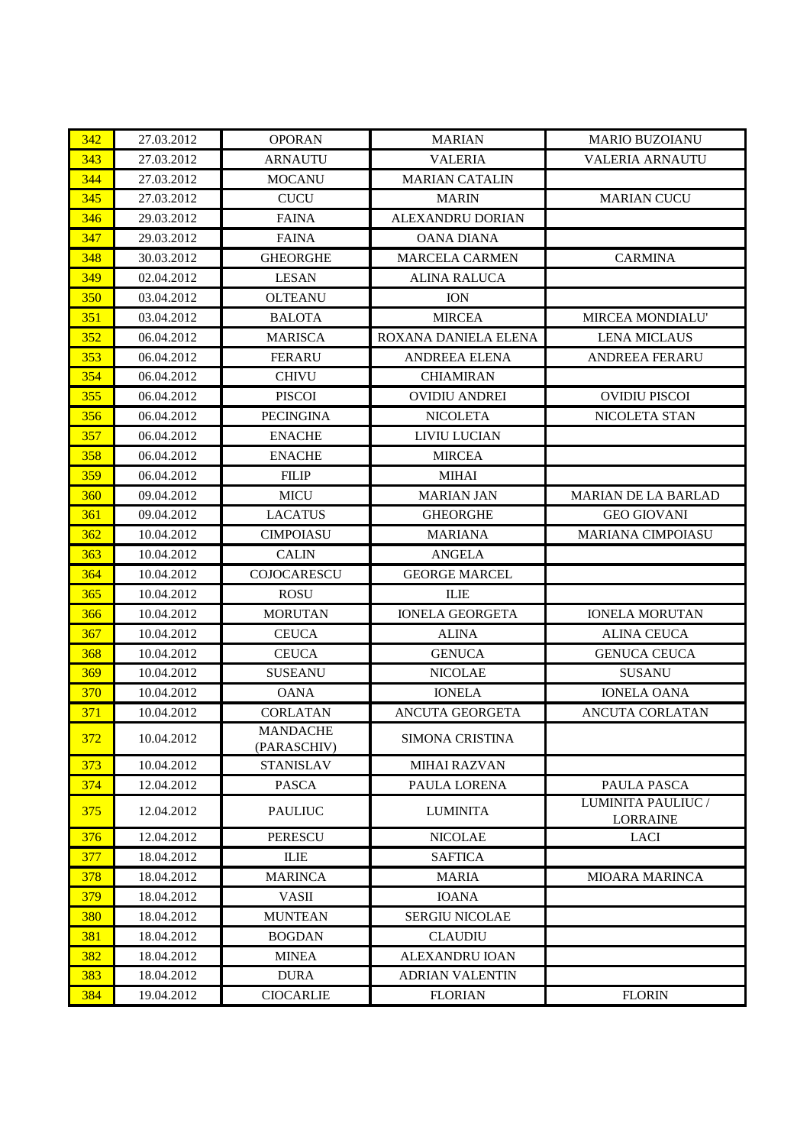| 342 | 27.03.2012 | <b>OPORAN</b>                  | <b>MARIAN</b>          | <b>MARIO BUZOIANU</b>                 |
|-----|------------|--------------------------------|------------------------|---------------------------------------|
| 343 | 27.03.2012 | <b>ARNAUTU</b>                 | <b>VALERIA</b>         | VALERIA ARNAUTU                       |
| 344 | 27.03.2012 | <b>MOCANU</b>                  | <b>MARIAN CATALIN</b>  |                                       |
| 345 | 27.03.2012 | <b>CUCU</b>                    | <b>MARIN</b>           | <b>MARIAN CUCU</b>                    |
| 346 | 29.03.2012 | <b>FAINA</b>                   | ALEXANDRU DORIAN       |                                       |
| 347 | 29.03.2012 | <b>FAINA</b>                   | <b>OANA DIANA</b>      |                                       |
| 348 | 30.03.2012 | <b>GHEORGHE</b>                | <b>MARCELA CARMEN</b>  | <b>CARMINA</b>                        |
| 349 | 02.04.2012 | <b>LESAN</b>                   | <b>ALINA RALUCA</b>    |                                       |
| 350 | 03.04.2012 | <b>OLTEANU</b>                 | <b>ION</b>             |                                       |
| 351 | 03.04.2012 | <b>BALOTA</b>                  | <b>MIRCEA</b>          | MIRCEA MONDIALU'                      |
| 352 | 06.04.2012 | <b>MARISCA</b>                 | ROXANA DANIELA ELENA   | <b>LENA MICLAUS</b>                   |
| 353 | 06.04.2012 | <b>FERARU</b>                  | ANDREEA ELENA          | ANDREEA FERARU                        |
| 354 | 06.04.2012 | <b>CHIVU</b>                   | <b>CHIAMIRAN</b>       |                                       |
| 355 | 06.04.2012 | <b>PISCOI</b>                  | <b>OVIDIU ANDREI</b>   | <b>OVIDIU PISCOI</b>                  |
| 356 | 06.04.2012 | <b>PECINGINA</b>               | <b>NICOLETA</b>        | NICOLETA STAN                         |
| 357 | 06.04.2012 | <b>ENACHE</b>                  | LIVIU LUCIAN           |                                       |
| 358 | 06.04.2012 | <b>ENACHE</b>                  | <b>MIRCEA</b>          |                                       |
| 359 | 06.04.2012 | <b>FILIP</b>                   | <b>MIHAI</b>           |                                       |
| 360 | 09.04.2012 | <b>MICU</b>                    | <b>MARIAN JAN</b>      | <b>MARIAN DE LA BARLAD</b>            |
| 361 | 09.04.2012 | <b>LACATUS</b>                 | <b>GHEORGHE</b>        | <b>GEO GIOVANI</b>                    |
| 362 | 10.04.2012 | <b>CIMPOIASU</b>               | <b>MARIANA</b>         | <b>MARIANA CIMPOIASU</b>              |
| 363 | 10.04.2012 | <b>CALIN</b>                   | <b>ANGELA</b>          |                                       |
| 364 | 10.04.2012 | COJOCARESCU                    | <b>GEORGE MARCEL</b>   |                                       |
| 365 | 10.04.2012 | <b>ROSU</b>                    | <b>ILIE</b>            |                                       |
| 366 | 10.04.2012 | <b>MORUTAN</b>                 | <b>IONELA GEORGETA</b> | <b>IONELA MORUTAN</b>                 |
| 367 | 10.04.2012 | <b>CEUCA</b>                   | <b>ALINA</b>           | <b>ALINA CEUCA</b>                    |
| 368 | 10.04.2012 | <b>CEUCA</b>                   | <b>GENUCA</b>          | <b>GENUCA CEUCA</b>                   |
| 369 | 10.04.2012 | <b>SUSEANU</b>                 | <b>NICOLAE</b>         | <b>SUSANU</b>                         |
| 370 | 10.04.2012 | <b>OANA</b>                    | <b>IONELA</b>          | <b>IONELA OANA</b>                    |
| 371 | 10.04.2012 | <b>CORLATAN</b>                | ANCUTA GEORGETA        | ANCUTA CORLATAN                       |
| 372 | 10.04.2012 | <b>MANDACHE</b><br>(PARASCHIV) | SIMONA CRISTINA        |                                       |
| 373 | 10.04.2012 | <b>STANISLAV</b>               | <b>MIHAI RAZVAN</b>    |                                       |
| 374 | 12.04.2012 | <b>PASCA</b>                   | PAULA LORENA           | PAULA PASCA                           |
| 375 | 12.04.2012 | <b>PAULIUC</b>                 | <b>LUMINITA</b>        | LUMINITA PAULIUC /<br><b>LORRAINE</b> |
| 376 | 12.04.2012 | <b>PERESCU</b>                 | <b>NICOLAE</b>         | LACI                                  |
| 377 | 18.04.2012 | <b>ILIE</b>                    | <b>SAFTICA</b>         |                                       |
| 378 | 18.04.2012 | <b>MARINCA</b>                 | <b>MARIA</b>           | <b>MIOARA MARINCA</b>                 |
| 379 | 18.04.2012 | <b>VASII</b>                   | <b>IOANA</b>           |                                       |
| 380 | 18.04.2012 | <b>MUNTEAN</b>                 | SERGIU NICOLAE         |                                       |
| 381 | 18.04.2012 | <b>BOGDAN</b>                  | <b>CLAUDIU</b>         |                                       |
| 382 | 18.04.2012 | <b>MINEA</b>                   | <b>ALEXANDRU IOAN</b>  |                                       |
| 383 | 18.04.2012 | <b>DURA</b>                    | <b>ADRIAN VALENTIN</b> |                                       |
| 384 | 19.04.2012 | <b>CIOCARLIE</b>               | <b>FLORIAN</b>         | <b>FLORIN</b>                         |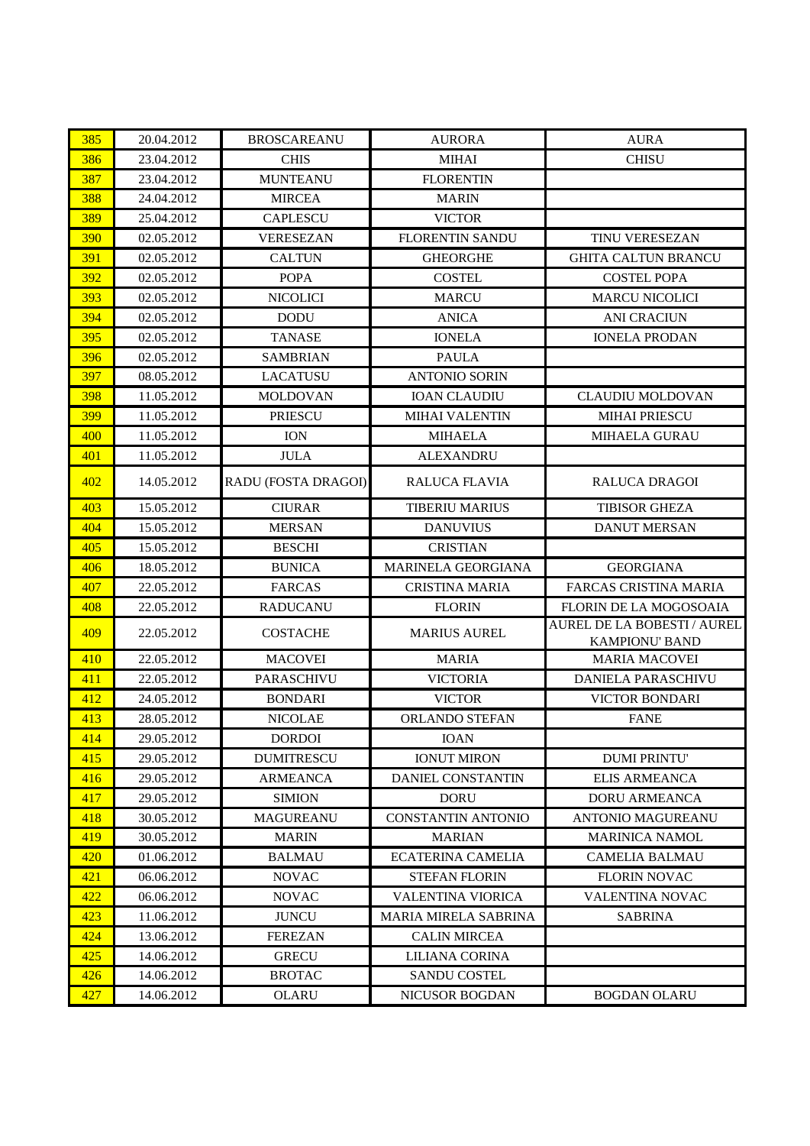| 385 | 20.04.2012 | <b>BROSCAREANU</b>  | <b>AURORA</b>             | <b>AURA</b>                                                 |
|-----|------------|---------------------|---------------------------|-------------------------------------------------------------|
| 386 | 23.04.2012 | <b>CHIS</b>         | <b>MIHAI</b>              | <b>CHISU</b>                                                |
| 387 | 23.04.2012 | <b>MUNTEANU</b>     | <b>FLORENTIN</b>          |                                                             |
| 388 | 24.04.2012 | <b>MIRCEA</b>       | <b>MARIN</b>              |                                                             |
| 389 | 25.04.2012 | <b>CAPLESCU</b>     | <b>VICTOR</b>             |                                                             |
| 390 | 02.05.2012 | <b>VERESEZAN</b>    | <b>FLORENTIN SANDU</b>    | TINU VERESEZAN                                              |
| 391 | 02.05.2012 | <b>CALTUN</b>       | <b>GHEORGHE</b>           | <b>GHITA CALTUN BRANCU</b>                                  |
| 392 | 02.05.2012 | <b>POPA</b>         | <b>COSTEL</b>             | <b>COSTEL POPA</b>                                          |
| 393 | 02.05.2012 | <b>NICOLICI</b>     | <b>MARCU</b>              | <b>MARCU NICOLICI</b>                                       |
| 394 | 02.05.2012 | <b>DODU</b>         | <b>ANICA</b>              | <b>ANI CRACIUN</b>                                          |
| 395 | 02.05.2012 | <b>TANASE</b>       | <b>IONELA</b>             | <b>IONELA PRODAN</b>                                        |
| 396 | 02.05.2012 | <b>SAMBRIAN</b>     | <b>PAULA</b>              |                                                             |
| 397 | 08.05.2012 | <b>LACATUSU</b>     | <b>ANTONIO SORIN</b>      |                                                             |
| 398 | 11.05.2012 | <b>MOLDOVAN</b>     | <b>IOAN CLAUDIU</b>       | <b>CLAUDIU MOLDOVAN</b>                                     |
| 399 | 11.05.2012 | <b>PRIESCU</b>      | <b>MIHAI VALENTIN</b>     | <b>MIHAI PRIESCU</b>                                        |
| 400 | 11.05.2012 | <b>ION</b>          | <b>MIHAELA</b>            | MIHAELA GURAU                                               |
| 401 | 11.05.2012 | <b>JULA</b>         | <b>ALEXANDRU</b>          |                                                             |
| 402 | 14.05.2012 | RADU (FOSTA DRAGOI) | RALUCA FLAVIA             | <b>RALUCA DRAGOI</b>                                        |
| 403 | 15.05.2012 | <b>CIURAR</b>       | <b>TIBERIU MARIUS</b>     | <b>TIBISOR GHEZA</b>                                        |
| 404 | 15.05.2012 | <b>MERSAN</b>       | <b>DANUVIUS</b>           | <b>DANUT MERSAN</b>                                         |
| 405 | 15.05.2012 | <b>BESCHI</b>       | <b>CRISTIAN</b>           |                                                             |
| 406 | 18.05.2012 | <b>BUNICA</b>       | MARINELA GEORGIANA        | <b>GEORGIANA</b>                                            |
| 407 | 22.05.2012 | <b>FARCAS</b>       | <b>CRISTINA MARIA</b>     | <b>FARCAS CRISTINA MARIA</b>                                |
| 408 | 22.05.2012 | <b>RADUCANU</b>     | <b>FLORIN</b>             | FLORIN DE LA MOGOSOAIA                                      |
| 409 | 22.05.2012 | <b>COSTACHE</b>     | <b>MARIUS AUREL</b>       | <b>AUREL DE LA BOBESTI / AUREL</b><br><b>KAMPIONU' BAND</b> |
| 410 | 22.05.2012 | <b>MACOVEI</b>      | <b>MARIA</b>              | <b>MARIA MACOVEI</b>                                        |
| 411 | 22.05.2012 | <b>PARASCHIVU</b>   | <b>VICTORIA</b>           | DANIELA PARASCHIVU                                          |
| 412 | 24.05.2012 | <b>BONDARI</b>      | <b>VICTOR</b>             | <b>VICTOR BONDARI</b>                                       |
| 413 | 28.05.2012 | <b>NICOLAE</b>      | ORLANDO STEFAN            | <b>FANE</b>                                                 |
| 414 | 29.05.2012 | <b>DORDOI</b>       | <b>IOAN</b>               |                                                             |
| 415 | 29.05.2012 | <b>DUMITRESCU</b>   | <b>IONUT MIRON</b>        | <b>DUMI PRINTU'</b>                                         |
| 416 | 29.05.2012 | <b>ARMEANCA</b>     | DANIEL CONSTANTIN         | <b>ELIS ARMEANCA</b>                                        |
| 417 | 29.05.2012 | <b>SIMION</b>       | <b>DORU</b>               | <b>DORU ARMEANCA</b>                                        |
| 418 | 30.05.2012 | <b>MAGUREANU</b>    | <b>CONSTANTIN ANTONIO</b> | <b>ANTONIO MAGUREANU</b>                                    |
| 419 | 30.05.2012 | <b>MARIN</b>        | <b>MARIAN</b>             | <b>MARINICA NAMOL</b>                                       |
| 420 | 01.06.2012 | <b>BALMAU</b>       | <b>ECATERINA CAMELIA</b>  | <b>CAMELIA BALMAU</b>                                       |
| 421 | 06.06.2012 | <b>NOVAC</b>        | <b>STEFAN FLORIN</b>      | <b>FLORIN NOVAC</b>                                         |
| 422 | 06.06.2012 | <b>NOVAC</b>        | <b>VALENTINA VIORICA</b>  | <b>VALENTINA NOVAC</b>                                      |
| 423 | 11.06.2012 | <b>JUNCU</b>        | MARIA MIRELA SABRINA      | <b>SABRINA</b>                                              |
| 424 | 13.06.2012 | <b>FEREZAN</b>      | <b>CALIN MIRCEA</b>       |                                                             |
| 425 | 14.06.2012 | <b>GRECU</b>        | LILIANA CORINA            |                                                             |
| 426 | 14.06.2012 | <b>BROTAC</b>       | <b>SANDU COSTEL</b>       |                                                             |
| 427 | 14.06.2012 | <b>OLARU</b>        | <b>NICUSOR BOGDAN</b>     | <b>BOGDAN OLARU</b>                                         |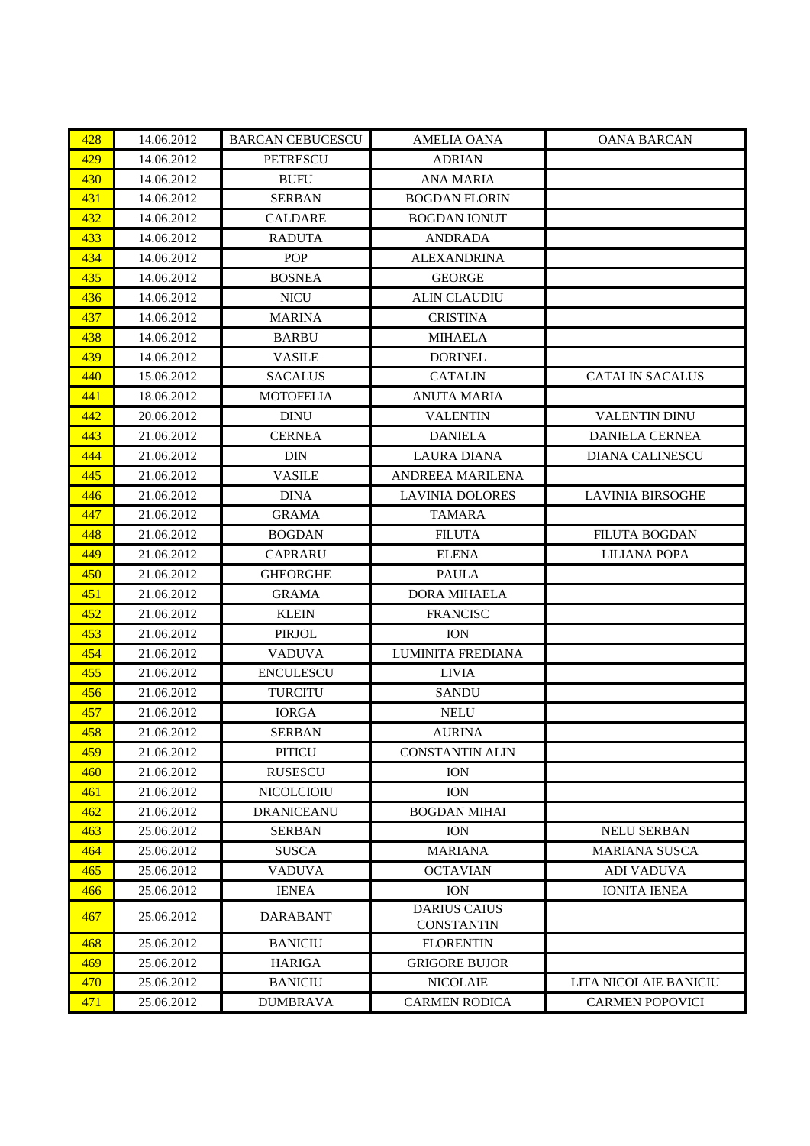| 428 | 14.06.2012 | <b>BARCAN CEBUCESCU</b> | <b>AMELIA OANA</b>                       | <b>OANA BARCAN</b>      |
|-----|------------|-------------------------|------------------------------------------|-------------------------|
| 429 | 14.06.2012 | <b>PETRESCU</b>         | <b>ADRIAN</b>                            |                         |
| 430 | 14.06.2012 | <b>BUFU</b>             | <b>ANA MARIA</b>                         |                         |
| 431 | 14.06.2012 | <b>SERBAN</b>           | <b>BOGDAN FLORIN</b>                     |                         |
| 432 | 14.06.2012 | CALDARE                 | <b>BOGDAN IONUT</b>                      |                         |
| 433 | 14.06.2012 | <b>RADUTA</b>           | <b>ANDRADA</b>                           |                         |
| 434 | 14.06.2012 | <b>POP</b>              | <b>ALEXANDRINA</b>                       |                         |
| 435 | 14.06.2012 | <b>BOSNEA</b>           | <b>GEORGE</b>                            |                         |
| 436 | 14.06.2012 | <b>NICU</b>             | <b>ALIN CLAUDIU</b>                      |                         |
| 437 | 14.06.2012 | <b>MARINA</b>           | <b>CRISTINA</b>                          |                         |
| 438 | 14.06.2012 | <b>BARBU</b>            | <b>MIHAELA</b>                           |                         |
| 439 | 14.06.2012 | <b>VASILE</b>           | <b>DORINEL</b>                           |                         |
| 440 | 15.06.2012 | <b>SACALUS</b>          | <b>CATALIN</b>                           | <b>CATALIN SACALUS</b>  |
| 441 | 18.06.2012 | <b>MOTOFELIA</b>        | <b>ANUTA MARIA</b>                       |                         |
| 442 | 20.06.2012 | <b>DINU</b>             | <b>VALENTIN</b>                          | <b>VALENTIN DINU</b>    |
| 443 | 21.06.2012 | <b>CERNEA</b>           | <b>DANIELA</b>                           | <b>DANIELA CERNEA</b>   |
| 444 | 21.06.2012 | <b>DIN</b>              | <b>LAURA DIANA</b>                       | <b>DIANA CALINESCU</b>  |
| 445 | 21.06.2012 | <b>VASILE</b>           | ANDREEA MARILENA                         |                         |
| 446 | 21.06.2012 | <b>DINA</b>             | <b>LAVINIA DOLORES</b>                   | <b>LAVINIA BIRSOGHE</b> |
| 447 | 21.06.2012 | <b>GRAMA</b>            | <b>TAMARA</b>                            |                         |
| 448 | 21.06.2012 | <b>BOGDAN</b>           | <b>FILUTA</b>                            | <b>FILUTA BOGDAN</b>    |
| 449 | 21.06.2012 | <b>CAPRARU</b>          | <b>ELENA</b>                             | <b>LILIANA POPA</b>     |
| 450 | 21.06.2012 | <b>GHEORGHE</b>         | <b>PAULA</b>                             |                         |
| 451 | 21.06.2012 | <b>GRAMA</b>            | <b>DORA MIHAELA</b>                      |                         |
| 452 | 21.06.2012 | <b>KLEIN</b>            | <b>FRANCISC</b>                          |                         |
| 453 | 21.06.2012 | <b>PIRJOL</b>           | <b>ION</b>                               |                         |
| 454 | 21.06.2012 | <b>VADUVA</b>           | LUMINITA FREDIANA                        |                         |
| 455 | 21.06.2012 | <b>ENCULESCU</b>        | <b>LIVIA</b>                             |                         |
| 456 | 21.06.2012 | <b>TURCITU</b>          | <b>SANDU</b>                             |                         |
| 457 | 21.06.2012 | <b>IORGA</b>            | <b>NELU</b>                              |                         |
| 458 | 21.06.2012 | <b>SERBAN</b>           | <b>AURINA</b>                            |                         |
| 459 | 21.06.2012 | <b>PITICU</b>           | <b>CONSTANTIN ALIN</b>                   |                         |
| 460 | 21.06.2012 | <b>RUSESCU</b>          | <b>ION</b>                               |                         |
| 461 | 21.06.2012 | <b>NICOLCIOIU</b>       | <b>ION</b>                               |                         |
| 462 | 21.06.2012 | <b>DRANICEANU</b>       | <b>BOGDAN MIHAI</b>                      |                         |
| 463 | 25.06.2012 | <b>SERBAN</b>           | <b>ION</b>                               | NELU SERBAN             |
| 464 | 25.06.2012 | <b>SUSCA</b>            | <b>MARIANA</b>                           | <b>MARIANA SUSCA</b>    |
| 465 | 25.06.2012 | <b>VADUVA</b>           | <b>OCTAVIAN</b>                          | <b>ADI VADUVA</b>       |
| 466 | 25.06.2012 | <b>IENEA</b>            | <b>ION</b>                               | <b>IONITA IENEA</b>     |
| 467 | 25.06.2012 | <b>DARABANT</b>         | <b>DARIUS CAIUS</b><br><b>CONSTANTIN</b> |                         |
| 468 | 25.06.2012 | <b>BANICIU</b>          | <b>FLORENTIN</b>                         |                         |
| 469 | 25.06.2012 | <b>HARIGA</b>           | <b>GRIGORE BUJOR</b>                     |                         |
| 470 | 25.06.2012 | <b>BANICIU</b>          | <b>NICOLAIE</b>                          | LITA NICOLAIE BANICIU   |
| 471 | 25.06.2012 | <b>DUMBRAVA</b>         | <b>CARMEN RODICA</b>                     | <b>CARMEN POPOVICI</b>  |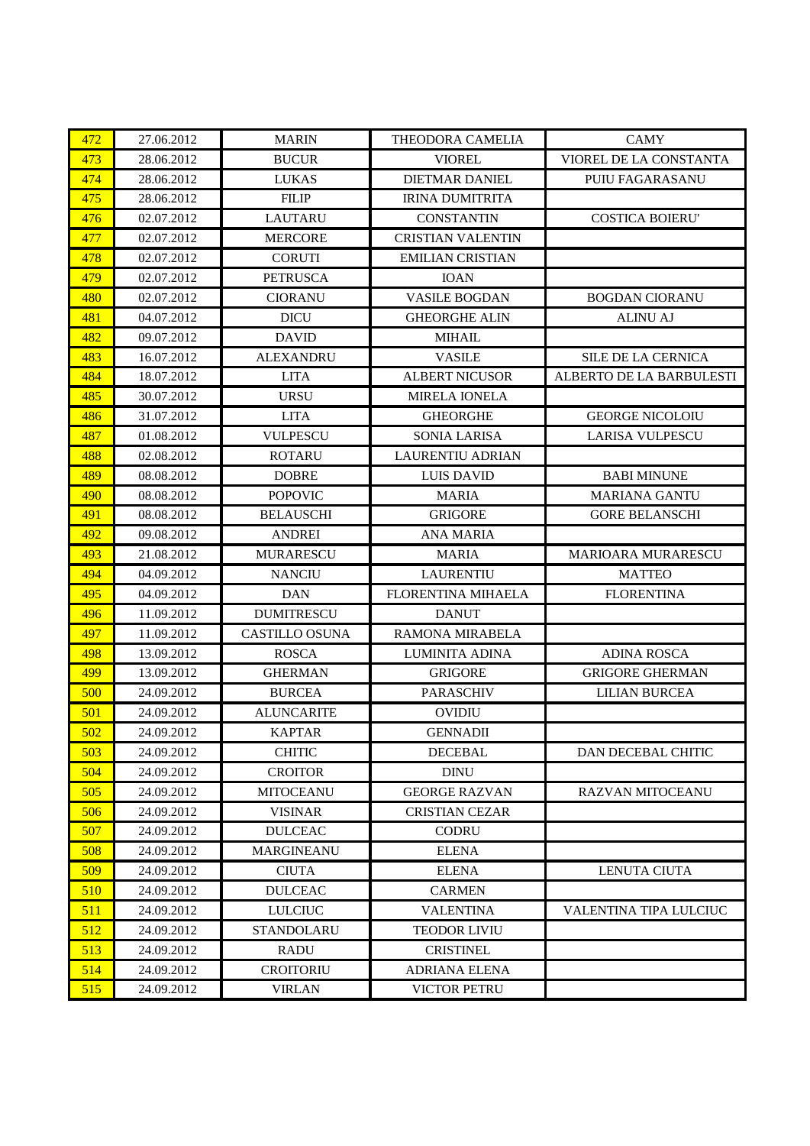| 472 | 27.06.2012 | <b>MARIN</b>          | THEODORA CAMELIA          | <b>CAMY</b>               |
|-----|------------|-----------------------|---------------------------|---------------------------|
| 473 | 28.06.2012 | <b>BUCUR</b>          | <b>VIOREL</b>             | VIOREL DE LA CONSTANTA    |
| 474 | 28.06.2012 | <b>LUKAS</b>          | <b>DIETMAR DANIEL</b>     | PUIU FAGARASANU           |
| 475 | 28.06.2012 | <b>FILIP</b>          | <b>IRINA DUMITRITA</b>    |                           |
| 476 | 02.07.2012 | <b>LAUTARU</b>        | <b>CONSTANTIN</b>         | <b>COSTICA BOIERU'</b>    |
| 477 | 02.07.2012 | <b>MERCORE</b>        | <b>CRISTIAN VALENTIN</b>  |                           |
| 478 | 02.07.2012 | <b>CORUTI</b>         | <b>EMILIAN CRISTIAN</b>   |                           |
| 479 | 02.07.2012 | <b>PETRUSCA</b>       | <b>IOAN</b>               |                           |
| 480 | 02.07.2012 | <b>CIORANU</b>        | <b>VASILE BOGDAN</b>      | <b>BOGDAN CIORANU</b>     |
| 481 | 04.07.2012 | <b>DICU</b>           | <b>GHEORGHE ALIN</b>      | <b>ALINU AJ</b>           |
| 482 | 09.07.2012 | <b>DAVID</b>          | <b>MIHAIL</b>             |                           |
| 483 | 16.07.2012 | <b>ALEXANDRU</b>      | <b>VASILE</b>             | <b>SILE DE LA CERNICA</b> |
| 484 | 18.07.2012 | <b>LITA</b>           | <b>ALBERT NICUSOR</b>     | ALBERTO DE LA BARBULESTI  |
| 485 | 30.07.2012 | <b>URSU</b>           | <b>MIRELA IONELA</b>      |                           |
| 486 | 31.07.2012 | <b>LITA</b>           | <b>GHEORGHE</b>           | <b>GEORGE NICOLOIU</b>    |
| 487 | 01.08.2012 | <b>VULPESCU</b>       | <b>SONIA LARISA</b>       | <b>LARISA VULPESCU</b>    |
| 488 | 02.08.2012 | <b>ROTARU</b>         | <b>LAURENTIU ADRIAN</b>   |                           |
| 489 | 08.08.2012 | <b>DOBRE</b>          | <b>LUIS DAVID</b>         | <b>BABI MINUNE</b>        |
| 490 | 08.08.2012 | <b>POPOVIC</b>        | <b>MARIA</b>              | <b>MARIANA GANTU</b>      |
| 491 | 08.08.2012 | <b>BELAUSCHI</b>      | <b>GRIGORE</b>            | <b>GORE BELANSCHI</b>     |
| 492 | 09.08.2012 | <b>ANDREI</b>         | <b>ANA MARIA</b>          |                           |
| 493 | 21.08.2012 | <b>MURARESCU</b>      | <b>MARIA</b>              | <b>MARIOARA MURARESCU</b> |
| 494 | 04.09.2012 | <b>NANCIU</b>         | <b>LAURENTIU</b>          | <b>MATTEO</b>             |
| 495 | 04.09.2012 | <b>DAN</b>            | <b>FLORENTINA MIHAELA</b> | <b>FLORENTINA</b>         |
| 496 | 11.09.2012 | <b>DUMITRESCU</b>     | <b>DANUT</b>              |                           |
| 497 | 11.09.2012 | <b>CASTILLO OSUNA</b> | RAMONA MIRABELA           |                           |
| 498 | 13.09.2012 | <b>ROSCA</b>          | <b>LUMINITA ADINA</b>     | <b>ADINA ROSCA</b>        |
| 499 | 13.09.2012 | <b>GHERMAN</b>        | <b>GRIGORE</b>            | <b>GRIGORE GHERMAN</b>    |
| 500 | 24.09.2012 | <b>BURCEA</b>         | <b>PARASCHIV</b>          | <b>LILIAN BURCEA</b>      |
| 501 | 24.09.2012 | <b>ALUNCARITE</b>     | <b>OVIDIU</b>             |                           |
| 502 | 24.09.2012 | <b>KAPTAR</b>         | <b>GENNADII</b>           |                           |
| 503 | 24.09.2012 | <b>CHITIC</b>         | <b>DECEBAL</b>            | DAN DECEBAL CHITIC        |
| 504 | 24.09.2012 | <b>CROITOR</b>        | <b>DINU</b>               |                           |
| 505 | 24.09.2012 | <b>MITOCEANU</b>      | <b>GEORGE RAZVAN</b>      | <b>RAZVAN MITOCEANU</b>   |
| 506 | 24.09.2012 | <b>VISINAR</b>        | <b>CRISTIAN CEZAR</b>     |                           |
| 507 | 24.09.2012 | <b>DULCEAC</b>        | <b>CODRU</b>              |                           |
| 508 | 24.09.2012 | <b>MARGINEANU</b>     | <b>ELENA</b>              |                           |
| 509 | 24.09.2012 | <b>CIUTA</b>          | <b>ELENA</b>              | <b>LENUTA CIUTA</b>       |
| 510 | 24.09.2012 | <b>DULCEAC</b>        | <b>CARMEN</b>             |                           |
| 511 | 24.09.2012 | <b>LULCIUC</b>        | <b>VALENTINA</b>          | VALENTINA TIPA LULCIUC    |
| 512 | 24.09.2012 | <b>STANDOLARU</b>     | <b>TEODOR LIVIU</b>       |                           |
| 513 | 24.09.2012 | <b>RADU</b>           | <b>CRISTINEL</b>          |                           |
| 514 | 24.09.2012 | <b>CROITORIU</b>      | <b>ADRIANA ELENA</b>      |                           |
| 515 |            |                       | <b>VICTOR PETRU</b>       |                           |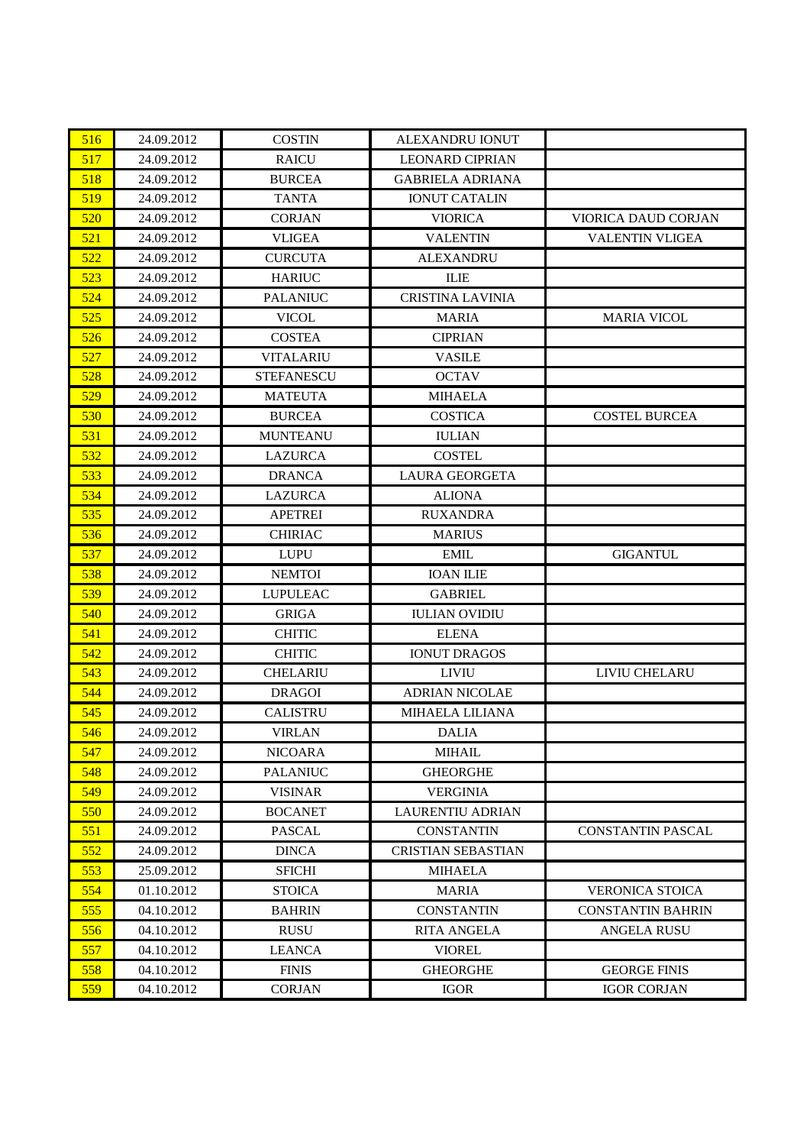| 516 | 24.09.2012 | <b>COSTIN</b>     | <b>ALEXANDRU IONUT</b>    |                          |
|-----|------------|-------------------|---------------------------|--------------------------|
| 517 | 24.09.2012 | <b>RAICU</b>      | <b>LEONARD CIPRIAN</b>    |                          |
| 518 | 24.09.2012 | <b>BURCEA</b>     | <b>GABRIELA ADRIANA</b>   |                          |
| 519 | 24.09.2012 | <b>TANTA</b>      | <b>IONUT CATALIN</b>      |                          |
| 520 | 24.09.2012 | <b>CORJAN</b>     | <b>VIORICA</b>            | VIORICA DAUD CORJAN      |
| 521 | 24.09.2012 | <b>VLIGEA</b>     | <b>VALENTIN</b>           | <b>VALENTIN VLIGEA</b>   |
| 522 | 24.09.2012 | <b>CURCUTA</b>    | <b>ALEXANDRU</b>          |                          |
| 523 | 24.09.2012 | <b>HARIUC</b>     | <b>ILIE</b>               |                          |
| 524 | 24.09.2012 | <b>PALANIUC</b>   | <b>CRISTINA LAVINIA</b>   |                          |
| 525 | 24.09.2012 | <b>VICOL</b>      | <b>MARIA</b>              | <b>MARIA VICOL</b>       |
| 526 | 24.09.2012 | <b>COSTEA</b>     | <b>CIPRIAN</b>            |                          |
| 527 | 24.09.2012 | <b>VITALARIU</b>  | <b>VASILE</b>             |                          |
| 528 | 24.09.2012 | <b>STEFANESCU</b> | <b>OCTAV</b>              |                          |
| 529 | 24.09.2012 | <b>MATEUTA</b>    | <b>MIHAELA</b>            |                          |
| 530 | 24.09.2012 | <b>BURCEA</b>     | <b>COSTICA</b>            | <b>COSTEL BURCEA</b>     |
| 531 | 24.09.2012 | <b>MUNTEANU</b>   | <b>IULIAN</b>             |                          |
| 532 | 24.09.2012 | <b>LAZURCA</b>    | <b>COSTEL</b>             |                          |
| 533 | 24.09.2012 | <b>DRANCA</b>     | <b>LAURA GEORGETA</b>     |                          |
| 534 | 24.09.2012 | <b>LAZURCA</b>    | <b>ALIONA</b>             |                          |
| 535 | 24.09.2012 | <b>APETREI</b>    | <b>RUXANDRA</b>           |                          |
| 536 | 24.09.2012 | <b>CHIRIAC</b>    | <b>MARIUS</b>             |                          |
| 537 | 24.09.2012 | <b>LUPU</b>       | <b>EMIL</b>               | <b>GIGANTUL</b>          |
| 538 | 24.09.2012 | <b>NEMTOI</b>     | <b>IOAN ILIE</b>          |                          |
| 539 | 24.09.2012 | <b>LUPULEAC</b>   | <b>GABRIEL</b>            |                          |
| 540 | 24.09.2012 | <b>GRIGA</b>      | <b>IULIAN OVIDIU</b>      |                          |
| 541 | 24.09.2012 | <b>CHITIC</b>     | <b>ELENA</b>              |                          |
| 542 | 24.09.2012 | <b>CHITIC</b>     | <b>IONUT DRAGOS</b>       |                          |
| 543 | 24.09.2012 | <b>CHELARIU</b>   | <b>LIVIU</b>              | LIVIU CHELARU            |
| 544 | 24.09.2012 | <b>DRAGOI</b>     | <b>ADRIAN NICOLAE</b>     |                          |
| 545 | 24.09.2012 | <b>CALISTRU</b>   | <b>MIHAELA LILIANA</b>    |                          |
| 546 | 24.09.2012 | <b>VIRLAN</b>     | <b>DALIA</b>              |                          |
| 547 | 24.09.2012 | <b>NICOARA</b>    | <b>MIHAIL</b>             |                          |
| 548 | 24.09.2012 | <b>PALANIUC</b>   | <b>GHEORGHE</b>           |                          |
| 549 | 24.09.2012 | <b>VISINAR</b>    | <b>VERGINIA</b>           |                          |
| 550 | 24.09.2012 | <b>BOCANET</b>    | LAURENTIU ADRIAN          |                          |
| 551 | 24.09.2012 | <b>PASCAL</b>     | <b>CONSTANTIN</b>         | <b>CONSTANTIN PASCAL</b> |
| 552 | 24.09.2012 | <b>DINCA</b>      | <b>CRISTIAN SEBASTIAN</b> |                          |
| 553 | 25.09.2012 | <b>SFICHI</b>     | <b>MIHAELA</b>            |                          |
| 554 | 01.10.2012 | <b>STOICA</b>     | <b>MARIA</b>              | <b>VERONICA STOICA</b>   |
| 555 | 04.10.2012 | <b>BAHRIN</b>     | <b>CONSTANTIN</b>         | <b>CONSTANTIN BAHRIN</b> |
| 556 | 04.10.2012 | <b>RUSU</b>       | <b>RITA ANGELA</b>        | ANGELA RUSU              |
| 557 | 04.10.2012 | <b>LEANCA</b>     | <b>VIOREL</b>             |                          |
| 558 | 04.10.2012 | <b>FINIS</b>      | <b>GHEORGHE</b>           | <b>GEORGE FINIS</b>      |
| 559 | 04.10.2012 | <b>CORJAN</b>     | <b>IGOR</b>               | <b>IGOR CORJAN</b>       |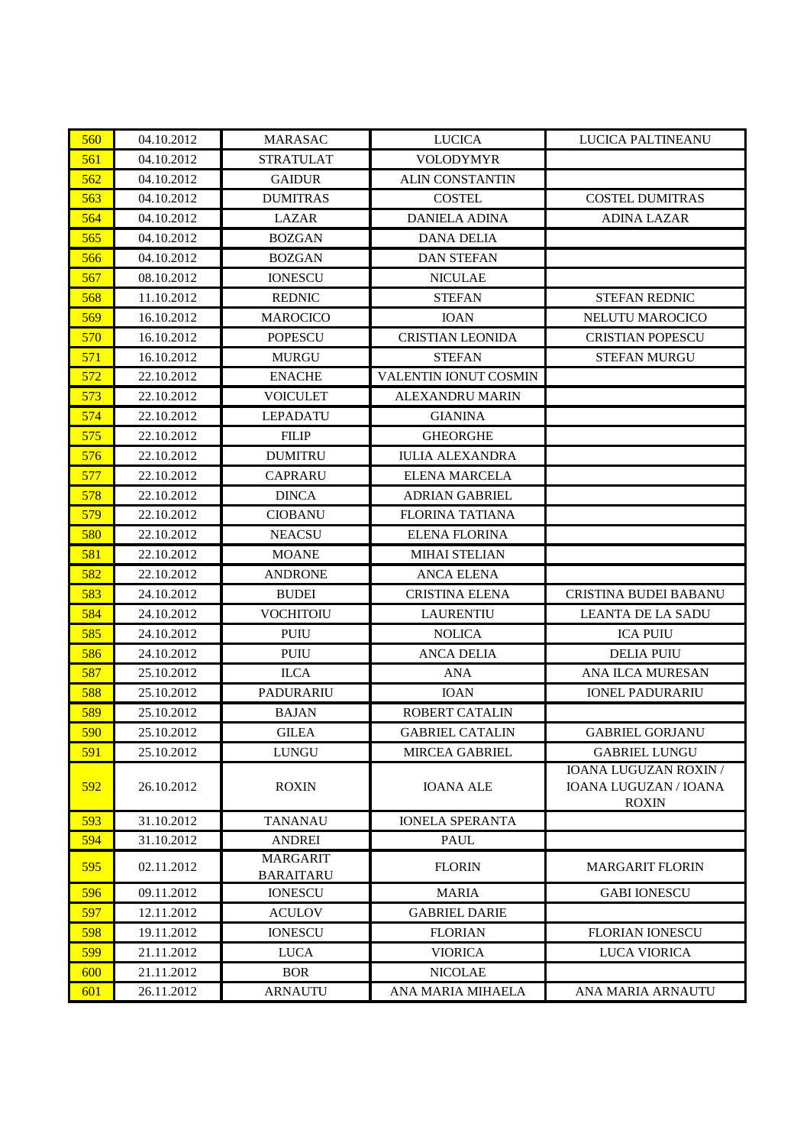| 560 | 04.10.2012 | <b>MARASAC</b>                      | <b>LUCICA</b>           | LUCICA PALTINEANU                                              |
|-----|------------|-------------------------------------|-------------------------|----------------------------------------------------------------|
| 561 | 04.10.2012 | <b>STRATULAT</b>                    | <b>VOLODYMYR</b>        |                                                                |
| 562 | 04.10.2012 | <b>GAIDUR</b>                       | <b>ALIN CONSTANTIN</b>  |                                                                |
| 563 | 04.10.2012 | <b>DUMITRAS</b>                     | <b>COSTEL</b>           | <b>COSTEL DUMITRAS</b>                                         |
| 564 | 04.10.2012 | LAZAR                               | <b>DANIELA ADINA</b>    | <b>ADINA LAZAR</b>                                             |
| 565 | 04.10.2012 | <b>BOZGAN</b>                       | <b>DANA DELIA</b>       |                                                                |
| 566 | 04.10.2012 | <b>BOZGAN</b>                       | <b>DAN STEFAN</b>       |                                                                |
| 567 | 08.10.2012 | <b>IONESCU</b>                      | <b>NICULAE</b>          |                                                                |
| 568 | 11.10.2012 | <b>REDNIC</b>                       | <b>STEFAN</b>           | <b>STEFAN REDNIC</b>                                           |
| 569 | 16.10.2012 | <b>MAROCICO</b>                     | <b>IOAN</b>             | NELUTU MAROCICO                                                |
| 570 | 16.10.2012 | <b>POPESCU</b>                      | <b>CRISTIAN LEONIDA</b> | <b>CRISTIAN POPESCU</b>                                        |
| 571 | 16.10.2012 | <b>MURGU</b>                        | <b>STEFAN</b>           | <b>STEFAN MURGU</b>                                            |
| 572 | 22.10.2012 | <b>ENACHE</b>                       | VALENTIN IONUT COSMIN   |                                                                |
| 573 | 22.10.2012 | <b>VOICULET</b>                     | <b>ALEXANDRU MARIN</b>  |                                                                |
| 574 | 22.10.2012 | <b>LEPADATU</b>                     | <b>GIANINA</b>          |                                                                |
| 575 | 22.10.2012 | <b>FILIP</b>                        | <b>GHEORGHE</b>         |                                                                |
| 576 | 22.10.2012 | <b>DUMITRU</b>                      | <b>IULIA ALEXANDRA</b>  |                                                                |
| 577 | 22.10.2012 | <b>CAPRARU</b>                      | <b>ELENA MARCELA</b>    |                                                                |
| 578 | 22.10.2012 | <b>DINCA</b>                        | <b>ADRIAN GABRIEL</b>   |                                                                |
| 579 | 22.10.2012 | <b>CIOBANU</b>                      | <b>FLORINA TATIANA</b>  |                                                                |
| 580 | 22.10.2012 | <b>NEACSU</b>                       | <b>ELENA FLORINA</b>    |                                                                |
| 581 | 22.10.2012 | <b>MOANE</b>                        | <b>MIHAI STELIAN</b>    |                                                                |
| 582 | 22.10.2012 | <b>ANDRONE</b>                      | <b>ANCA ELENA</b>       |                                                                |
| 583 | 24.10.2012 | <b>BUDEI</b>                        | <b>CRISTINA ELENA</b>   | CRISTINA BUDEI BABANU                                          |
| 584 | 24.10.2012 | <b>VOCHITOIU</b>                    | <b>LAURENTIU</b>        | <b>LEANTA DE LA SADU</b>                                       |
| 585 | 24.10.2012 | <b>PUIU</b>                         | <b>NOLICA</b>           | <b>ICA PUIU</b>                                                |
| 586 | 24.10.2012 | <b>PUIU</b>                         | <b>ANCA DELIA</b>       | <b>DELIA PUIU</b>                                              |
| 587 | 25.10.2012 | <b>ILCA</b>                         | <b>ANA</b>              | ANA ILCA MURESAN                                               |
| 588 | 25.10.2012 | PADURARIU                           | <b>IOAN</b>             | <b>IONEL PADURARIU</b>                                         |
| 589 | 25.10.2012 | <b>BAJAN</b>                        | <b>ROBERT CATALIN</b>   |                                                                |
| 590 | 25.10.2012 | <b>GILEA</b>                        | <b>GABRIEL CATALIN</b>  | <b>GABRIEL GORJANU</b>                                         |
| 591 | 25.10.2012 | <b>LUNGU</b>                        | <b>MIRCEA GABRIEL</b>   | <b>GABRIEL LUNGU</b>                                           |
| 592 | 26.10.2012 | <b>ROXIN</b>                        | <b>IOANA ALE</b>        | IOANA LUGUZAN ROXIN /<br>IOANA LUGUZAN / IOANA<br><b>ROXIN</b> |
| 593 | 31.10.2012 | <b>TANANAU</b>                      | <b>IONELA SPERANTA</b>  |                                                                |
| 594 | 31.10.2012 | <b>ANDREI</b>                       | <b>PAUL</b>             |                                                                |
| 595 | 02.11.2012 | <b>MARGARIT</b><br><b>BARAITARU</b> | <b>FLORIN</b>           | <b>MARGARIT FLORIN</b>                                         |
| 596 | 09.11.2012 | <b>IONESCU</b>                      | <b>MARIA</b>            | <b>GABI IONESCU</b>                                            |
| 597 | 12.11.2012 | <b>ACULOV</b>                       | <b>GABRIEL DARIE</b>    |                                                                |
| 598 | 19.11.2012 | <b>IONESCU</b>                      | <b>FLORIAN</b>          | <b>FLORIAN IONESCU</b>                                         |
| 599 | 21.11.2012 | <b>LUCA</b>                         | <b>VIORICA</b>          | LUCA VIORICA                                                   |
| 600 | 21.11.2012 | <b>BOR</b>                          | <b>NICOLAE</b>          |                                                                |
| 601 | 26.11.2012 | <b>ARNAUTU</b>                      | ANA MARIA MIHAELA       | ANA MARIA ARNAUTU                                              |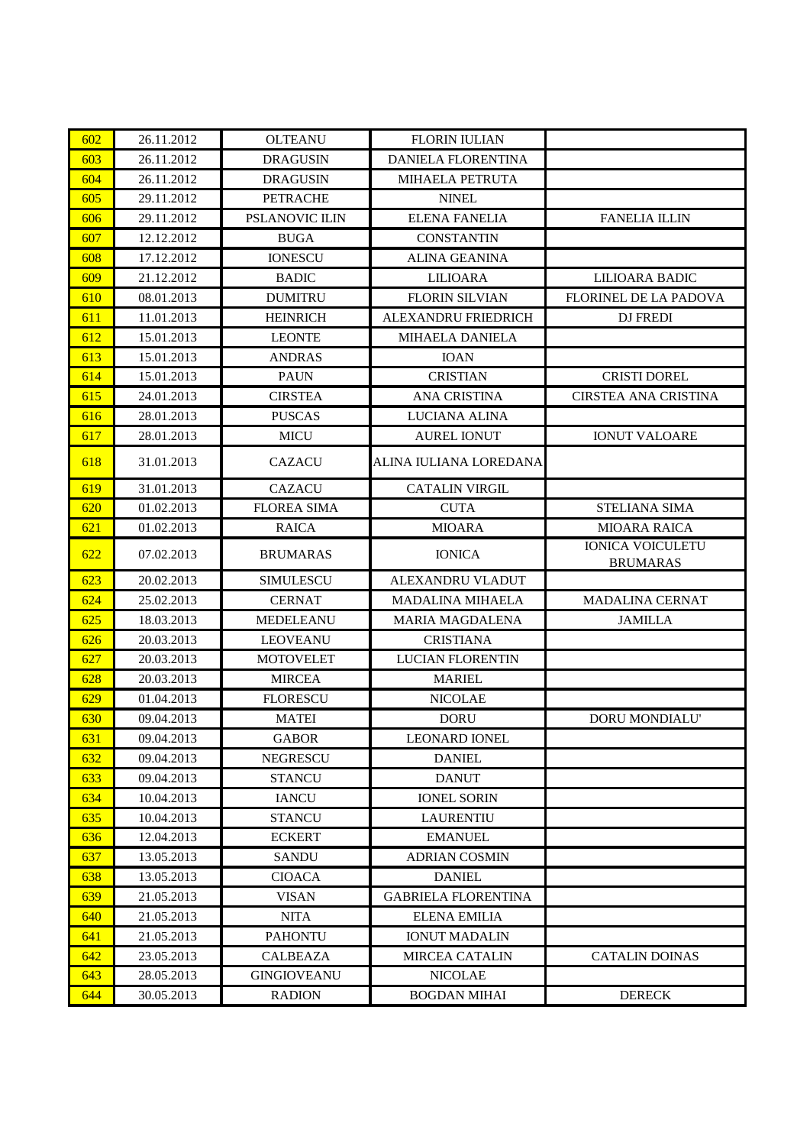| 602 | 26.11.2012 | <b>OLTEANU</b>        | <b>FLORIN IULIAN</b>       |                                            |
|-----|------------|-----------------------|----------------------------|--------------------------------------------|
| 603 | 26.11.2012 | <b>DRAGUSIN</b>       | DANIELA FLORENTINA         |                                            |
| 604 | 26.11.2012 | <b>DRAGUSIN</b>       | <b>MIHAELA PETRUTA</b>     |                                            |
| 605 | 29.11.2012 | <b>PETRACHE</b>       | <b>NINEL</b>               |                                            |
| 606 | 29.11.2012 | <b>PSLANOVIC ILIN</b> | <b>ELENA FANELIA</b>       | <b>FANELIA ILLIN</b>                       |
| 607 | 12.12.2012 | <b>BUGA</b>           | <b>CONSTANTIN</b>          |                                            |
| 608 | 17.12.2012 | <b>IONESCU</b>        | <b>ALINA GEANINA</b>       |                                            |
| 609 | 21.12.2012 | <b>BADIC</b>          | <b>LILIOARA</b>            | LILIOARA BADIC                             |
| 610 | 08.01.2013 | <b>DUMITRU</b>        | <b>FLORIN SILVIAN</b>      | <b>FLORINEL DE LA PADOVA</b>               |
| 611 | 11.01.2013 | <b>HEINRICH</b>       | ALEXANDRU FRIEDRICH        | DJ FREDI                                   |
| 612 | 15.01.2013 | <b>LEONTE</b>         | <b>MIHAELA DANIELA</b>     |                                            |
| 613 | 15.01.2013 | <b>ANDRAS</b>         | <b>IOAN</b>                |                                            |
| 614 | 15.01.2013 | <b>PAUN</b>           | <b>CRISTIAN</b>            | <b>CRISTI DOREL</b>                        |
| 615 | 24.01.2013 | <b>CIRSTEA</b>        | <b>ANA CRISTINA</b>        | CIRSTEA ANA CRISTINA                       |
| 616 | 28.01.2013 | <b>PUSCAS</b>         | LUCIANA ALINA              |                                            |
| 617 | 28.01.2013 | <b>MICU</b>           | <b>AUREL IONUT</b>         | <b>IONUT VALOARE</b>                       |
| 618 | 31.01.2013 | <b>CAZACU</b>         | ALINA IULIANA LOREDANA     |                                            |
| 619 | 31.01.2013 | <b>CAZACU</b>         | <b>CATALIN VIRGIL</b>      |                                            |
| 620 | 01.02.2013 | <b>FLOREA SIMA</b>    | <b>CUTA</b>                | STELIANA SIMA                              |
| 621 | 01.02.2013 | <b>RAICA</b>          | <b>MIOARA</b>              | <b>MIOARA RAICA</b>                        |
| 622 | 07.02.2013 | <b>BRUMARAS</b>       | <b>IONICA</b>              | <b>IONICA VOICULETU</b><br><b>BRUMARAS</b> |
| 623 | 20.02.2013 | <b>SIMULESCU</b>      | ALEXANDRU VLADUT           |                                            |
| 624 | 25.02.2013 | <b>CERNAT</b>         | <b>MADALINA MIHAELA</b>    | <b>MADALINA CERNAT</b>                     |
| 625 | 18.03.2013 | <b>MEDELEANU</b>      | <b>MARIA MAGDALENA</b>     | <b>JAMILLA</b>                             |
| 626 | 20.03.2013 | <b>LEOVEANU</b>       | <b>CRISTIANA</b>           |                                            |
| 627 | 20.03.2013 | <b>MOTOVELET</b>      | <b>LUCIAN FLORENTIN</b>    |                                            |
| 628 | 20.03.2013 | <b>MIRCEA</b>         | <b>MARIEL</b>              |                                            |
| 629 | 01.04.2013 | <b>FLORESCU</b>       | <b>NICOLAE</b>             |                                            |
| 630 | 09.04.2013 | <b>MATEI</b>          | <b>DORU</b>                | <b>DORU MONDIALU'</b>                      |
| 631 | 09.04.2013 | <b>GABOR</b>          | LEONARD IONEL              |                                            |
| 632 | 09.04.2013 | <b>NEGRESCU</b>       | <b>DANIEL</b>              |                                            |
| 633 | 09.04.2013 | <b>STANCU</b>         | <b>DANUT</b>               |                                            |
| 634 | 10.04.2013 | <b>IANCU</b>          | <b>IONEL SORIN</b>         |                                            |
| 635 | 10.04.2013 | <b>STANCU</b>         | LAURENTIU                  |                                            |
| 636 | 12.04.2013 | <b>ECKERT</b>         | <b>EMANUEL</b>             |                                            |
| 637 | 13.05.2013 | <b>SANDU</b>          | <b>ADRIAN COSMIN</b>       |                                            |
| 638 | 13.05.2013 | <b>CIOACA</b>         | <b>DANIEL</b>              |                                            |
| 639 | 21.05.2013 | <b>VISAN</b>          | <b>GABRIELA FLORENTINA</b> |                                            |
| 640 | 21.05.2013 | <b>NITA</b>           | <b>ELENA EMILIA</b>        |                                            |
| 641 | 21.05.2013 | <b>PAHONTU</b>        | <b>IONUT MADALIN</b>       |                                            |
| 642 | 23.05.2013 | CALBEAZA              | <b>MIRCEA CATALIN</b>      | <b>CATALIN DOINAS</b>                      |
| 643 | 28.05.2013 | <b>GINGIOVEANU</b>    | <b>NICOLAE</b>             |                                            |
| 644 | 30.05.2013 | <b>RADION</b>         | <b>BOGDAN MIHAI</b>        | <b>DERECK</b>                              |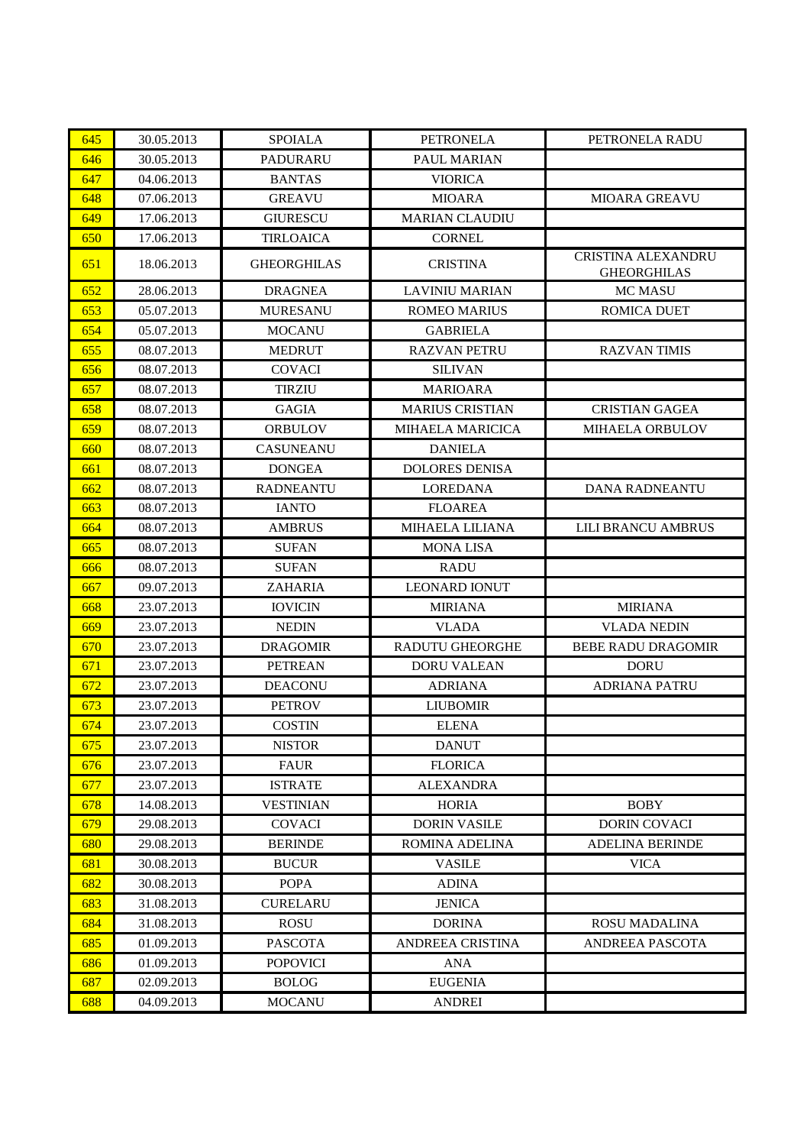| 645 | 30.05.2013 | <b>SPOIALA</b>     | <b>PETRONELA</b>        | PETRONELA RADU                           |
|-----|------------|--------------------|-------------------------|------------------------------------------|
| 646 | 30.05.2013 | <b>PADURARU</b>    | <b>PAUL MARIAN</b>      |                                          |
| 647 | 04.06.2013 | <b>BANTAS</b>      | <b>VIORICA</b>          |                                          |
| 648 | 07.06.2013 | <b>GREAVU</b>      | <b>MIOARA</b>           | <b>MIOARA GREAVU</b>                     |
| 649 | 17.06.2013 | <b>GIURESCU</b>    | <b>MARIAN CLAUDIU</b>   |                                          |
| 650 | 17.06.2013 | <b>TIRLOAICA</b>   | <b>CORNEL</b>           |                                          |
| 651 | 18.06.2013 | <b>GHEORGHILAS</b> | <b>CRISTINA</b>         | CRISTINA ALEXANDRU<br><b>GHEORGHILAS</b> |
| 652 | 28.06.2013 | <b>DRAGNEA</b>     | <b>LAVINIU MARIAN</b>   | MC MASU                                  |
| 653 | 05.07.2013 | <b>MURESANU</b>    | <b>ROMEO MARIUS</b>     | ROMICA DUET                              |
| 654 | 05.07.2013 | <b>MOCANU</b>      | <b>GABRIELA</b>         |                                          |
| 655 | 08.07.2013 | <b>MEDRUT</b>      | <b>RAZVAN PETRU</b>     | <b>RAZVAN TIMIS</b>                      |
| 656 | 08.07.2013 | <b>COVACI</b>      | <b>SILIVAN</b>          |                                          |
| 657 | 08.07.2013 | <b>TIRZIU</b>      | <b>MARIOARA</b>         |                                          |
| 658 | 08.07.2013 | <b>GAGIA</b>       | <b>MARIUS CRISTIAN</b>  | <b>CRISTIAN GAGEA</b>                    |
| 659 | 08.07.2013 | <b>ORBULOV</b>     | <b>MIHAELA MARICICA</b> | <b>MIHAELA ORBULOV</b>                   |
| 660 | 08.07.2013 | CASUNEANU          | <b>DANIELA</b>          |                                          |
| 661 | 08.07.2013 | <b>DONGEA</b>      | <b>DOLORES DENISA</b>   |                                          |
| 662 | 08.07.2013 | <b>RADNEANTU</b>   | <b>LOREDANA</b>         | DANA RADNEANTU                           |
| 663 | 08.07.2013 | <b>IANTO</b>       | <b>FLOAREA</b>          |                                          |
| 664 | 08.07.2013 | <b>AMBRUS</b>      | <b>MIHAELA LILIANA</b>  | <b>LILI BRANCU AMBRUS</b>                |
| 665 | 08.07.2013 | <b>SUFAN</b>       | <b>MONA LISA</b>        |                                          |
| 666 | 08.07.2013 | <b>SUFAN</b>       | <b>RADU</b>             |                                          |
| 667 | 09.07.2013 | ZAHARIA            | <b>LEONARD IONUT</b>    |                                          |
| 668 | 23.07.2013 | <b>IOVICIN</b>     | <b>MIRIANA</b>          | <b>MIRIANA</b>                           |
| 669 | 23.07.2013 | <b>NEDIN</b>       | <b>VLADA</b>            | <b>VLADA NEDIN</b>                       |
| 670 | 23.07.2013 | <b>DRAGOMIR</b>    | <b>RADUTU GHEORGHE</b>  | <b>BEBE RADU DRAGOMIR</b>                |
| 671 | 23.07.2013 | <b>PETREAN</b>     | <b>DORU VALEAN</b>      | <b>DORU</b>                              |
| 672 | 23.07.2013 | <b>DEACONU</b>     | <b>ADRIANA</b>          | <b>ADRIANA PATRU</b>                     |
| 673 | 23.07.2013 | <b>PETROV</b>      | <b>LIUBOMIR</b>         |                                          |
| 674 | 23.07.2013 | <b>COSTIN</b>      | <b>ELENA</b>            |                                          |
| 675 | 23.07.2013 | <b>NISTOR</b>      | <b>DANUT</b>            |                                          |
| 676 | 23.07.2013 | <b>FAUR</b>        | <b>FLORICA</b>          |                                          |
| 677 | 23.07.2013 | <b>ISTRATE</b>     | <b>ALEXANDRA</b>        |                                          |
| 678 | 14.08.2013 | <b>VESTINIAN</b>   | <b>HORIA</b>            | <b>BOBY</b>                              |
| 679 | 29.08.2013 | COVACI             | <b>DORIN VASILE</b>     | <b>DORIN COVACI</b>                      |
| 680 | 29.08.2013 | <b>BERINDE</b>     | <b>ROMINA ADELINA</b>   | <b>ADELINA BERINDE</b>                   |
| 681 | 30.08.2013 | <b>BUCUR</b>       | <b>VASILE</b>           | <b>VICA</b>                              |
| 682 | 30.08.2013 | <b>POPA</b>        | <b>ADINA</b>            |                                          |
| 683 | 31.08.2013 | <b>CURELARU</b>    | <b>JENICA</b>           |                                          |
| 684 | 31.08.2013 | <b>ROSU</b>        | <b>DORINA</b>           | <b>ROSU MADALINA</b>                     |
| 685 | 01.09.2013 | <b>PASCOTA</b>     | ANDREEA CRISTINA        | <b>ANDREEA PASCOTA</b>                   |
| 686 | 01.09.2013 | <b>POPOVICI</b>    | <b>ANA</b>              |                                          |
| 687 | 02.09.2013 | <b>BOLOG</b>       | <b>EUGENIA</b>          |                                          |
| 688 | 04.09.2013 | <b>MOCANU</b>      | <b>ANDREI</b>           |                                          |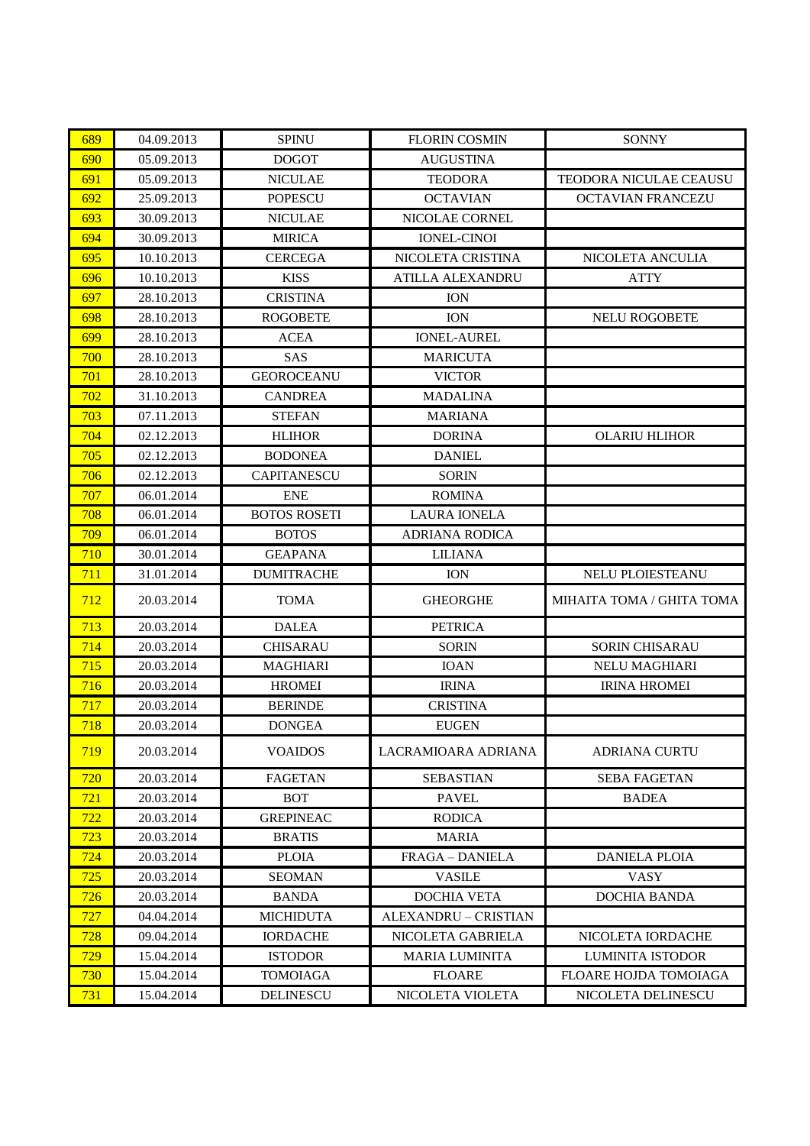| 689 | 04.09.2013 | <b>SPINU</b>        | <b>FLORIN COSMIN</b>    | <b>SONNY</b>                  |
|-----|------------|---------------------|-------------------------|-------------------------------|
| 690 | 05.09.2013 | <b>DOGOT</b>        | <b>AUGUSTINA</b>        |                               |
| 691 | 05.09.2013 | <b>NICULAE</b>      | <b>TEODORA</b>          | <b>TEODORA NICULAE CEAUSU</b> |
| 692 | 25.09.2013 | <b>POPESCU</b>      | <b>OCTAVIAN</b>         | <b>OCTAVIAN FRANCEZU</b>      |
| 693 | 30.09.2013 | <b>NICULAE</b>      | NICOLAE CORNEL          |                               |
| 694 | 30.09.2013 | <b>MIRICA</b>       | <b>IONEL-CINOI</b>      |                               |
| 695 | 10.10.2013 | <b>CERCEGA</b>      | NICOLETA CRISTINA       | NICOLETA ANCULIA              |
| 696 | 10.10.2013 | <b>KISS</b>         | <b>ATILLA ALEXANDRU</b> | <b>ATTY</b>                   |
| 697 | 28.10.2013 | <b>CRISTINA</b>     | <b>ION</b>              |                               |
| 698 | 28.10.2013 | <b>ROGOBETE</b>     | <b>ION</b>              | <b>NELU ROGOBETE</b>          |
| 699 | 28.10.2013 | <b>ACEA</b>         | <b>IONEL-AUREL</b>      |                               |
| 700 | 28.10.2013 | SAS                 | <b>MARICUTA</b>         |                               |
| 701 | 28.10.2013 | <b>GEOROCEANU</b>   | <b>VICTOR</b>           |                               |
| 702 | 31.10.2013 | <b>CANDREA</b>      | <b>MADALINA</b>         |                               |
| 703 | 07.11.2013 | <b>STEFAN</b>       | <b>MARIANA</b>          |                               |
| 704 | 02.12.2013 | <b>HLIHOR</b>       | <b>DORINA</b>           | <b>OLARIU HLIHOR</b>          |
| 705 | 02.12.2013 | <b>BODONEA</b>      | <b>DANIEL</b>           |                               |
| 706 | 02.12.2013 | <b>CAPITANESCU</b>  | <b>SORIN</b>            |                               |
| 707 | 06.01.2014 | <b>ENE</b>          | <b>ROMINA</b>           |                               |
| 708 | 06.01.2014 | <b>BOTOS ROSETI</b> | <b>LAURA IONELA</b>     |                               |
| 709 | 06.01.2014 | <b>BOTOS</b>        | <b>ADRIANA RODICA</b>   |                               |
| 710 | 30.01.2014 | <b>GEAPANA</b>      | <b>LILIANA</b>          |                               |
| 711 | 31.01.2014 | <b>DUMITRACHE</b>   | <b>ION</b>              | NELU PLOIESTEANU              |
|     |            |                     |                         |                               |
| 712 | 20.03.2014 | <b>TOMA</b>         | <b>GHEORGHE</b>         | MIHAITA TOMA / GHITA TOMA     |
| 713 | 20.03.2014 | <b>DALEA</b>        | <b>PETRICA</b>          |                               |
| 714 | 20.03.2014 | <b>CHISARAU</b>     | <b>SORIN</b>            | <b>SORIN CHISARAU</b>         |
| 715 | 20.03.2014 | <b>MAGHIARI</b>     | <b>IOAN</b>             | <b>NELU MAGHIARI</b>          |
| 716 | 20.03.2014 | <b>HROMEI</b>       | <b>IRINA</b>            | <b>IRINA HROMEI</b>           |
| 717 | 20.03.2014 | <b>BERINDE</b>      | <b>CRISTINA</b>         |                               |
| 718 | 20.03.2014 | <b>DONGEA</b>       | <b>EUGEN</b>            |                               |
| 719 | 20.03.2014 | <b>VOAIDOS</b>      | LACRAMIOARA ADRIANA     | ADRIANA CURTU                 |
| 720 | 20.03.2014 | <b>FAGETAN</b>      | <b>SEBASTIAN</b>        | <b>SEBA FAGETAN</b>           |
| 721 | 20.03.2014 | <b>BOT</b>          | <b>PAVEL</b>            | <b>BADEA</b>                  |
| 722 | 20.03.2014 | <b>GREPINEAC</b>    | <b>RODICA</b>           |                               |
| 723 | 20.03.2014 | <b>BRATIS</b>       | <b>MARIA</b>            |                               |
| 724 | 20.03.2014 | <b>PLOIA</b>        | <b>FRAGA - DANIELA</b>  | <b>DANIELA PLOIA</b>          |
| 725 | 20.03.2014 | <b>SEOMAN</b>       | <b>VASILE</b>           | <b>VASY</b>                   |
| 726 | 20.03.2014 | <b>BANDA</b>        | DOCHIA VETA             | <b>DOCHIA BANDA</b>           |
| 727 | 04.04.2014 | <b>MICHIDUTA</b>    | ALEXANDRU - CRISTIAN    |                               |
| 728 | 09.04.2014 | <b>IORDACHE</b>     | NICOLETA GABRIELA       | NICOLETA IORDACHE             |
| 729 | 15.04.2014 | <b>ISTODOR</b>      | <b>MARIA LUMINITA</b>   | LUMINITA ISTODOR              |
| 730 | 15.04.2014 | <b>TOMOIAGA</b>     | <b>FLOARE</b>           | FLOARE HOJDA TOMOIAGA         |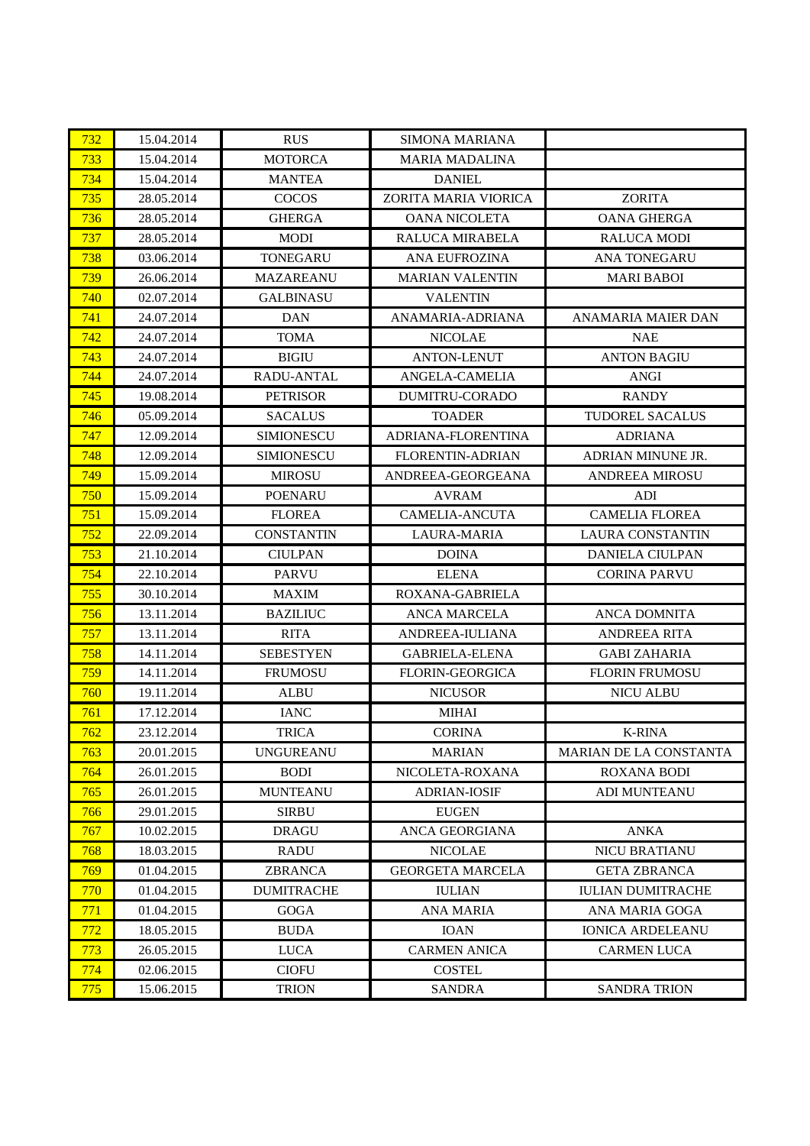| 732        | 15.04.2014 | <b>RUS</b>        | <b>SIMONA MARIANA</b>   |                          |
|------------|------------|-------------------|-------------------------|--------------------------|
| 733        | 15.04.2014 | <b>MOTORCA</b>    | <b>MARIA MADALINA</b>   |                          |
| 734        | 15.04.2014 | <b>MANTEA</b>     | <b>DANIEL</b>           |                          |
| 735        | 28.05.2014 | <b>COCOS</b>      | ZORITA MARIA VIORICA    | <b>ZORITA</b>            |
| 736        | 28.05.2014 | <b>GHERGA</b>     | <b>OANA NICOLETA</b>    | <b>OANA GHERGA</b>       |
| 737        | 28.05.2014 | <b>MODI</b>       | <b>RALUCA MIRABELA</b>  | <b>RALUCA MODI</b>       |
| 738        | 03.06.2014 | <b>TONEGARU</b>   | <b>ANA EUFROZINA</b>    | <b>ANA TONEGARU</b>      |
| 739        | 26.06.2014 | <b>MAZAREANU</b>  | <b>MARIAN VALENTIN</b>  | <b>MARI BABOI</b>        |
| 740        | 02.07.2014 | <b>GALBINASU</b>  | <b>VALENTIN</b>         |                          |
| 741        | 24.07.2014 | <b>DAN</b>        | ANAMARIA-ADRIANA        | ANAMARIA MAIER DAN       |
| 742        | 24.07.2014 | <b>TOMA</b>       | <b>NICOLAE</b>          | <b>NAE</b>               |
| 743        | 24.07.2014 | <b>BIGIU</b>      | <b>ANTON-LENUT</b>      | <b>ANTON BAGIU</b>       |
| 744        | 24.07.2014 | RADU-ANTAL        | ANGELA-CAMELIA          | <b>ANGI</b>              |
| 745        | 19.08.2014 | <b>PETRISOR</b>   | <b>DUMITRU-CORADO</b>   | <b>RANDY</b>             |
| 746        | 05.09.2014 | <b>SACALUS</b>    | <b>TOADER</b>           | <b>TUDOREL SACALUS</b>   |
| 747        | 12.09.2014 | <b>SIMIONESCU</b> | ADRIANA-FLORENTINA      | <b>ADRIANA</b>           |
| 748        | 12.09.2014 | <b>SIMIONESCU</b> | FLORENTIN-ADRIAN        | ADRIAN MINUNE JR.        |
| 749        | 15.09.2014 | <b>MIROSU</b>     | ANDREEA-GEORGEANA       | <b>ANDREEA MIROSU</b>    |
| 750        | 15.09.2014 | <b>POENARU</b>    | AVRAM                   | ADI                      |
| 751        | 15.09.2014 | <b>FLOREA</b>     | <b>CAMELIA-ANCUTA</b>   | <b>CAMELIA FLOREA</b>    |
| 752        | 22.09.2014 | <b>CONSTANTIN</b> | <b>LAURA-MARIA</b>      | <b>LAURA CONSTANTIN</b>  |
| 753        | 21.10.2014 | <b>CIULPAN</b>    | <b>DOINA</b>            | <b>DANIELA CIULPAN</b>   |
| 754        | 22.10.2014 | <b>PARVU</b>      | <b>ELENA</b>            | <b>CORINA PARVU</b>      |
| 755        | 30.10.2014 | <b>MAXIM</b>      | ROXANA-GABRIELA         |                          |
| 756        | 13.11.2014 | <b>BAZILIUC</b>   | <b>ANCA MARCELA</b>     | <b>ANCA DOMNITA</b>      |
| 757        | 13.11.2014 | <b>RITA</b>       | ANDREEA-IULIANA         | <b>ANDREEA RITA</b>      |
| 758        | 14.11.2014 | <b>SEBESTYEN</b>  | <b>GABRIELA-ELENA</b>   | <b>GABI ZAHARIA</b>      |
| 759        | 14.11.2014 | <b>FRUMOSU</b>    | <b>FLORIN-GEORGICA</b>  | <b>FLORIN FRUMOSU</b>    |
| 760        | 19.11.2014 | <b>ALBU</b>       | <b>NICUSOR</b>          | <b>NICU ALBU</b>         |
| 761        | 17.12.2014 | <b>IANC</b>       | <b>MIHAI</b>            |                          |
| 762        | 23.12.2014 | <b>TRICA</b>      | <b>CORINA</b>           | <b>K-RINA</b>            |
| 763        | 20.01.2015 | <b>UNGUREANU</b>  | <b>MARIAN</b>           | MARIAN DE LA CONSTANTA   |
| 764        | 26.01.2015 | <b>BODI</b>       | NICOLETA-ROXANA         | <b>ROXANA BODI</b>       |
| 765        | 26.01.2015 | <b>MUNTEANU</b>   | <b>ADRIAN-IOSIF</b>     | <b>ADI MUNTEANU</b>      |
| 766        | 29.01.2015 | <b>SIRBU</b>      | <b>EUGEN</b>            |                          |
| 767        | 10.02.2015 | <b>DRAGU</b>      | <b>ANCA GEORGIANA</b>   | <b>ANKA</b>              |
| 768        | 18.03.2015 | <b>RADU</b>       | <b>NICOLAE</b>          | <b>NICU BRATIANU</b>     |
| 769        | 01.04.2015 | ZBRANCA           | <b>GEORGETA MARCELA</b> | <b>GETA ZBRANCA</b>      |
| 770        | 01.04.2015 | <b>DUMITRACHE</b> | <b>IULIAN</b>           | <b>IULIAN DUMITRACHE</b> |
| 771        | 01.04.2015 | <b>GOGA</b>       | <b>ANA MARIA</b>        | ANA MARIA GOGA           |
| <u>772</u> | 18.05.2015 | <b>BUDA</b>       | <b>IOAN</b>             | <b>IONICA ARDELEANU</b>  |
| 773        | 26.05.2015 | <b>LUCA</b>       | <b>CARMEN ANICA</b>     | <b>CARMEN LUCA</b>       |
| 774        | 02.06.2015 | <b>CIOFU</b>      | <b>COSTEL</b>           |                          |
| 775        | 15.06.2015 | <b>TRION</b>      | <b>SANDRA</b>           | <b>SANDRA TRION</b>      |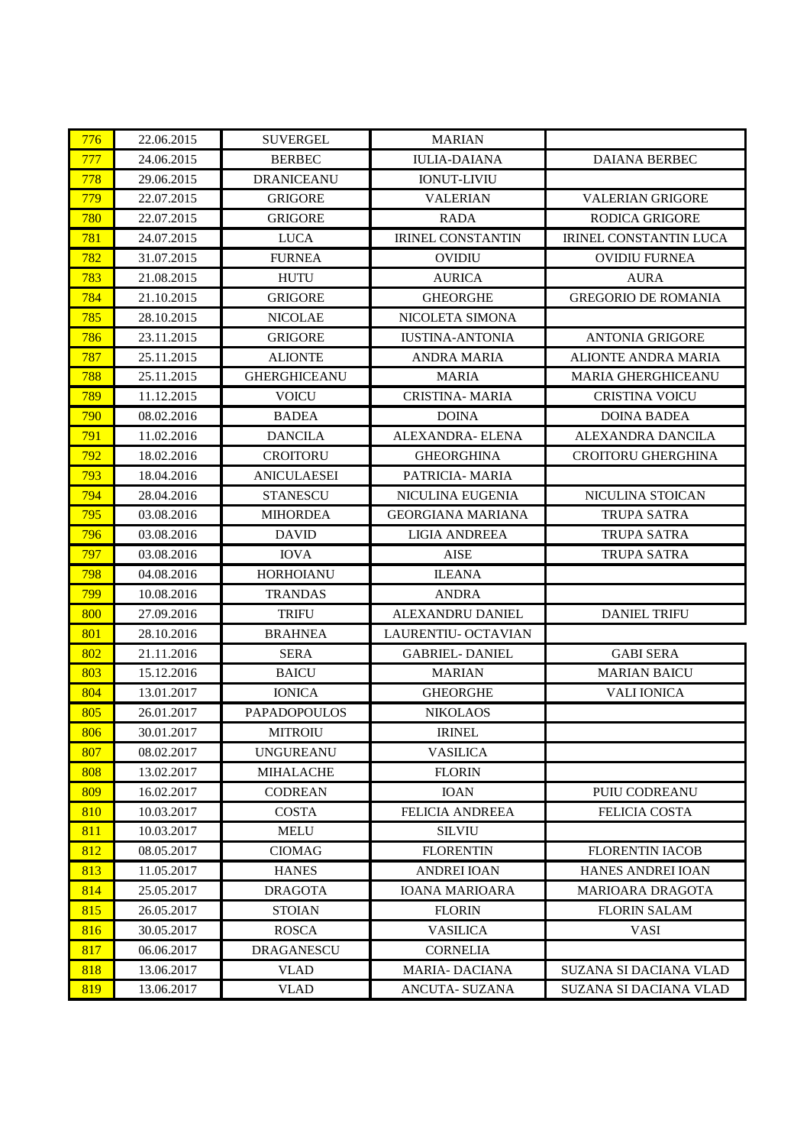| 776 | 22.06.2015 | <b>SUVERGEL</b>     | <b>MARIAN</b>            |                               |
|-----|------------|---------------------|--------------------------|-------------------------------|
| 777 | 24.06.2015 | <b>BERBEC</b>       | <b>IULIA-DAIANA</b>      | DAIANA BERBEC                 |
| 778 | 29.06.2015 | <b>DRANICEANU</b>   | <b>IONUT-LIVIU</b>       |                               |
| 779 | 22.07.2015 | <b>GRIGORE</b>      | <b>VALERIAN</b>          | <b>VALERIAN GRIGORE</b>       |
| 780 | 22.07.2015 | <b>GRIGORE</b>      | <b>RADA</b>              | <b>RODICA GRIGORE</b>         |
| 781 | 24.07.2015 | <b>LUCA</b>         | <b>IRINEL CONSTANTIN</b> | <b>IRINEL CONSTANTIN LUCA</b> |
| 782 | 31.07.2015 | <b>FURNEA</b>       | <b>OVIDIU</b>            | <b>OVIDIU FURNEA</b>          |
| 783 | 21.08.2015 | <b>HUTU</b>         | <b>AURICA</b>            | <b>AURA</b>                   |
| 784 | 21.10.2015 | <b>GRIGORE</b>      | <b>GHEORGHE</b>          | <b>GREGORIO DE ROMANIA</b>    |
| 785 | 28.10.2015 | <b>NICOLAE</b>      | NICOLETA SIMONA          |                               |
| 786 | 23.11.2015 | <b>GRIGORE</b>      | <b>IUSTINA-ANTONIA</b>   | <b>ANTONIA GRIGORE</b>        |
| 787 | 25.11.2015 | <b>ALIONTE</b>      | <b>ANDRA MARIA</b>       | <b>ALIONTE ANDRA MARIA</b>    |
| 788 | 25.11.2015 | <b>GHERGHICEANU</b> | <b>MARIA</b>             | <b>MARIA GHERGHICEANU</b>     |
| 789 | 11.12.2015 | <b>VOICU</b>        | <b>CRISTINA- MARIA</b>   | <b>CRISTINA VOICU</b>         |
| 790 | 08.02.2016 | <b>BADEA</b>        | <b>DOINA</b>             | <b>DOINA BADEA</b>            |
| 791 | 11.02.2016 | <b>DANCILA</b>      | ALEXANDRA- ELENA         | ALEXANDRA DANCILA             |
| 792 | 18.02.2016 | <b>CROITORU</b>     | <b>GHEORGHINA</b>        | <b>CROITORU GHERGHINA</b>     |
| 793 | 18.04.2016 | <b>ANICULAESEI</b>  | PATRICIA- MARIA          |                               |
| 794 | 28.04.2016 | <b>STANESCU</b>     | NICULINA EUGENIA         | NICULINA STOICAN              |
| 795 | 03.08.2016 | <b>MIHORDEA</b>     | GEORGIANA MARIANA        | TRUPA SATRA                   |
| 796 | 03.08.2016 | <b>DAVID</b>        | <b>LIGIA ANDREEA</b>     | <b>TRUPA SATRA</b>            |
| 797 | 03.08.2016 | <b>IOVA</b>         | <b>AISE</b>              | <b>TRUPA SATRA</b>            |
| 798 | 04.08.2016 | <b>HORHOIANU</b>    | <b>ILEANA</b>            |                               |
| 799 | 10.08.2016 | <b>TRANDAS</b>      | <b>ANDRA</b>             |                               |
| 800 | 27.09.2016 | <b>TRIFU</b>        | ALEXANDRU DANIEL         | <b>DANIEL TRIFU</b>           |
| 801 | 28.10.2016 | <b>BRAHNEA</b>      | LAURENTIU- OCTAVIAN      |                               |
| 802 | 21.11.2016 | <b>SERA</b>         | <b>GABRIEL-DANIEL</b>    | <b>GABI SERA</b>              |
| 803 | 15.12.2016 | <b>BAICU</b>        | <b>MARIAN</b>            | <b>MARIAN BAICU</b>           |
| 804 | 13.01.2017 | <b>IONICA</b>       | <b>GHEORGHE</b>          | <b>VALI IONICA</b>            |
| 805 | 26.01.2017 | <b>PAPADOPOULOS</b> | <b>NIKOLAOS</b>          |                               |
| 806 | 30.01.2017 | <b>MITROIU</b>      | <b>IRINEL</b>            |                               |
| 807 | 08.02.2017 | <b>UNGUREANU</b>    | <b>VASILICA</b>          |                               |
| 808 | 13.02.2017 | <b>MIHALACHE</b>    | <b>FLORIN</b>            |                               |
| 809 | 16.02.2017 | <b>CODREAN</b>      | <b>IOAN</b>              | PUIU CODREANU                 |
| 810 | 10.03.2017 | <b>COSTA</b>        | <b>FELICIA ANDREEA</b>   | <b>FELICIA COSTA</b>          |
| 811 | 10.03.2017 | <b>MELU</b>         | <b>SILVIU</b>            |                               |
| 812 | 08.05.2017 | <b>CIOMAG</b>       | <b>FLORENTIN</b>         | <b>FLORENTIN IACOB</b>        |
| 813 | 11.05.2017 | <b>HANES</b>        | <b>ANDREI IOAN</b>       | <b>HANES ANDREI IOAN</b>      |
| 814 | 25.05.2017 | <b>DRAGOTA</b>      | <b>IOANA MARIOARA</b>    | <b>MARIOARA DRAGOTA</b>       |
| 815 | 26.05.2017 | <b>STOIAN</b>       | <b>FLORIN</b>            | <b>FLORIN SALAM</b>           |
| 816 | 30.05.2017 | <b>ROSCA</b>        | <b>VASILICA</b>          | <b>VASI</b>                   |
| 817 | 06.06.2017 | <b>DRAGANESCU</b>   | <b>CORNELIA</b>          |                               |
| 818 | 13.06.2017 | <b>VLAD</b>         | <b>MARIA- DACIANA</b>    | <b>SUZANA SI DACIANA VLAD</b> |
| 819 | 13.06.2017 | <b>VLAD</b>         | ANCUTA- SUZANA           | <b>SUZANA SI DACIANA VLAD</b> |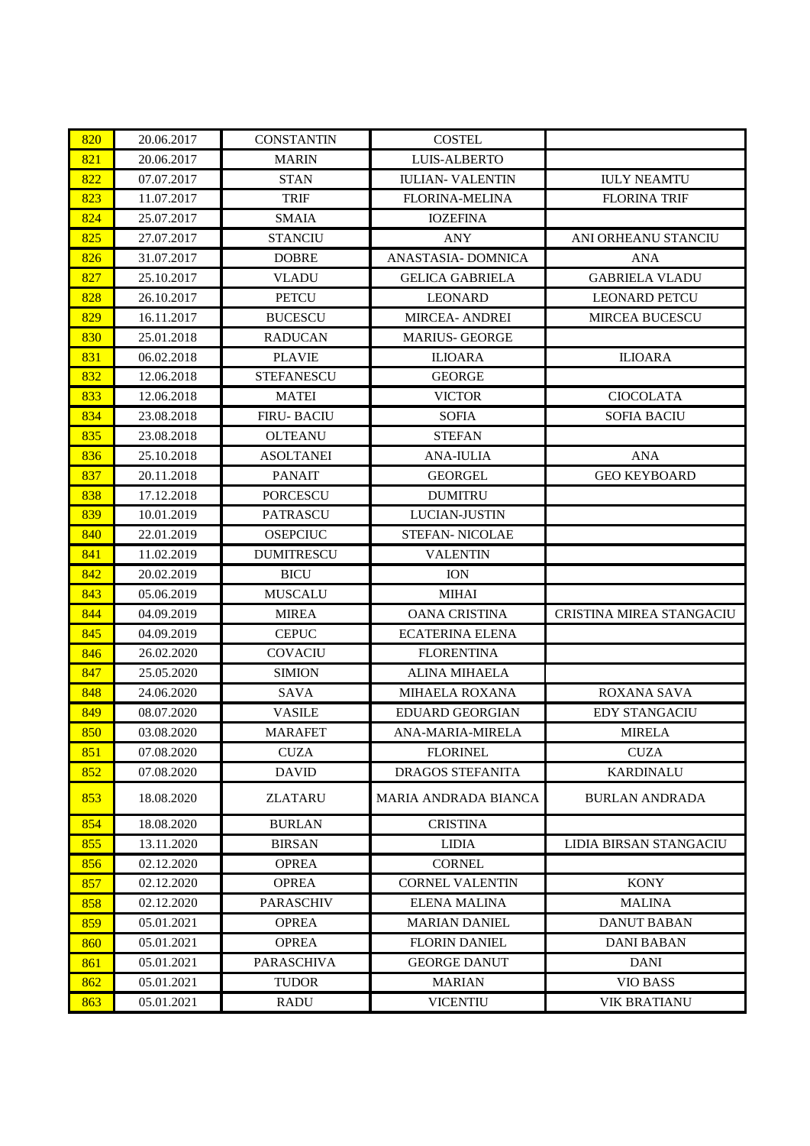| 820 | 20.06.2017 | <b>CONSTANTIN</b> | <b>COSTEL</b>           |                          |
|-----|------------|-------------------|-------------------------|--------------------------|
| 821 | 20.06.2017 | <b>MARIN</b>      | <b>LUIS-ALBERTO</b>     |                          |
| 822 | 07.07.2017 | <b>STAN</b>       | <b>IULIAN-VALENTIN</b>  | <b>IULY NEAMTU</b>       |
| 823 | 11.07.2017 | <b>TRIF</b>       | <b>FLORINA-MELINA</b>   | <b>FLORINA TRIF</b>      |
| 824 | 25.07.2017 | <b>SMAIA</b>      | <b>IOZEFINA</b>         |                          |
| 825 | 27.07.2017 | <b>STANCIU</b>    | <b>ANY</b>              | ANI ORHEANU STANCIU      |
| 826 | 31.07.2017 | <b>DOBRE</b>      | ANASTASIA- DOMNICA      | <b>ANA</b>               |
| 827 | 25.10.2017 | <b>VLADU</b>      | <b>GELICA GABRIELA</b>  | <b>GABRIELA VLADU</b>    |
| 828 | 26.10.2017 | <b>PETCU</b>      | <b>LEONARD</b>          | <b>LEONARD PETCU</b>     |
| 829 | 16.11.2017 | <b>BUCESCU</b>    | <b>MIRCEA- ANDREI</b>   | <b>MIRCEA BUCESCU</b>    |
| 830 | 25.01.2018 | <b>RADUCAN</b>    | <b>MARIUS- GEORGE</b>   |                          |
| 831 | 06.02.2018 | <b>PLAVIE</b>     | <b>ILIOARA</b>          | <b>ILIOARA</b>           |
| 832 | 12.06.2018 | <b>STEFANESCU</b> | <b>GEORGE</b>           |                          |
| 833 | 12.06.2018 | <b>MATEI</b>      | <b>VICTOR</b>           | <b>CIOCOLATA</b>         |
| 834 | 23.08.2018 | <b>FIRU-BACIU</b> | <b>SOFIA</b>            | <b>SOFIA BACIU</b>       |
| 835 | 23.08.2018 | <b>OLTEANU</b>    | <b>STEFAN</b>           |                          |
| 836 | 25.10.2018 | <b>ASOLTANEI</b>  | <b>ANA-IULIA</b>        | <b>ANA</b>               |
| 837 | 20.11.2018 | <b>PANAIT</b>     | <b>GEORGEL</b>          | <b>GEO KEYBOARD</b>      |
| 838 | 17.12.2018 | <b>PORCESCU</b>   | <b>DUMITRU</b>          |                          |
| 839 | 10.01.2019 | <b>PATRASCU</b>   | LUCIAN-JUSTIN           |                          |
| 840 | 22.01.2019 | <b>OSEPCIUC</b>   | <b>STEFAN- NICOLAE</b>  |                          |
| 841 | 11.02.2019 | <b>DUMITRESCU</b> | <b>VALENTIN</b>         |                          |
| 842 | 20.02.2019 | <b>BICU</b>       | <b>ION</b>              |                          |
| 843 | 05.06.2019 | <b>MUSCALU</b>    | <b>MIHAI</b>            |                          |
| 844 | 04.09.2019 | <b>MIREA</b>      | <b>OANA CRISTINA</b>    | CRISTINA MIREA STANGACIU |
| 845 | 04.09.2019 | <b>CEPUC</b>      | <b>ECATERINA ELENA</b>  |                          |
| 846 | 26.02.2020 | <b>COVACIU</b>    | <b>FLORENTINA</b>       |                          |
| 847 | 25.05.2020 | <b>SIMION</b>     | <b>ALINA MIHAELA</b>    |                          |
| 848 | 24.06.2020 | <b>SAVA</b>       | <b>MIHAELA ROXANA</b>   | <b>ROXANA SAVA</b>       |
| 849 | 08.07.2020 | <b>VASILE</b>     | <b>EDUARD GEORGIAN</b>  | <b>EDY STANGACIU</b>     |
| 850 | 03.08.2020 | <b>MARAFET</b>    | ANA-MARIA-MIRELA        | <b>MIRELA</b>            |
| 851 | 07.08.2020 | <b>CUZA</b>       | <b>FLORINEL</b>         | <b>CUZA</b>              |
| 852 | 07.08.2020 | <b>DAVID</b>      | <b>DRAGOS STEFANITA</b> | <b>KARDINALU</b>         |
| 853 | 18.08.2020 | <b>ZLATARU</b>    | MARIA ANDRADA BIANCA    | <b>BURLAN ANDRADA</b>    |
| 854 | 18.08.2020 | <b>BURLAN</b>     | <b>CRISTINA</b>         |                          |
| 855 | 13.11.2020 | <b>BIRSAN</b>     | <b>LIDIA</b>            | LIDIA BIRSAN STANGACIU   |
| 856 | 02.12.2020 | <b>OPREA</b>      | <b>CORNEL</b>           |                          |
| 857 | 02.12.2020 | <b>OPREA</b>      | <b>CORNEL VALENTIN</b>  | <b>KONY</b>              |
| 858 | 02.12.2020 | <b>PARASCHIV</b>  | <b>ELENA MALINA</b>     | <b>MALINA</b>            |
| 859 | 05.01.2021 | <b>OPREA</b>      | <b>MARIAN DANIEL</b>    | <b>DANUT BABAN</b>       |
| 860 | 05.01.2021 | <b>OPREA</b>      | <b>FLORIN DANIEL</b>    | <b>DANI BABAN</b>        |
| 861 | 05.01.2021 | <b>PARASCHIVA</b> | <b>GEORGE DANUT</b>     | <b>DANI</b>              |
| 862 | 05.01.2021 | <b>TUDOR</b>      | <b>MARIAN</b>           | <b>VIO BASS</b>          |
| 863 | 05.01.2021 | <b>RADU</b>       | <b>VICENTIU</b>         | <b>VIK BRATIANU</b>      |